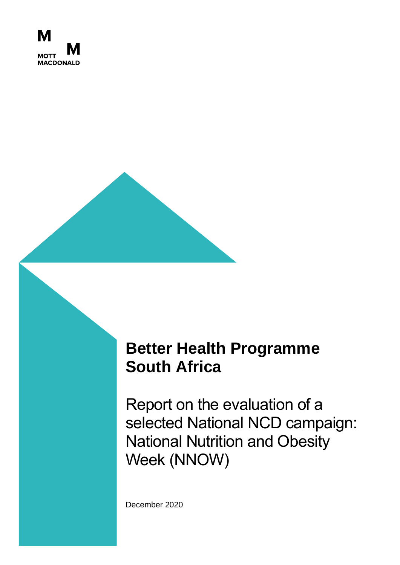

# **Better Health Programme South Africa**

Report on the evaluation of a selected National NCD campaign: National Nutrition and Obesity Week (NNOW)

December 2020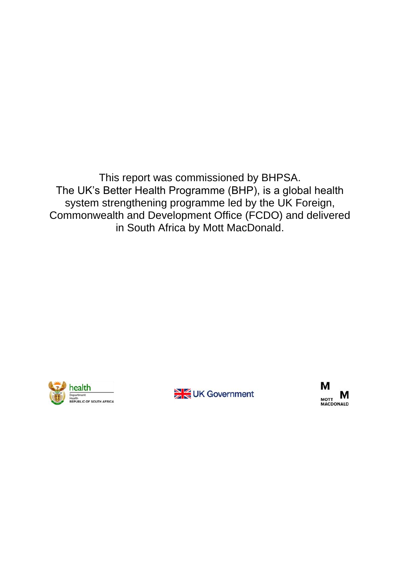This report was commissioned by BHPSA. The UK's Better Health Programme (BHP), is a global health system strengthening programme led by the UK Foreign, Commonwealth and Development Office (FCDO) and delivered in South Africa by Mott MacDonald.





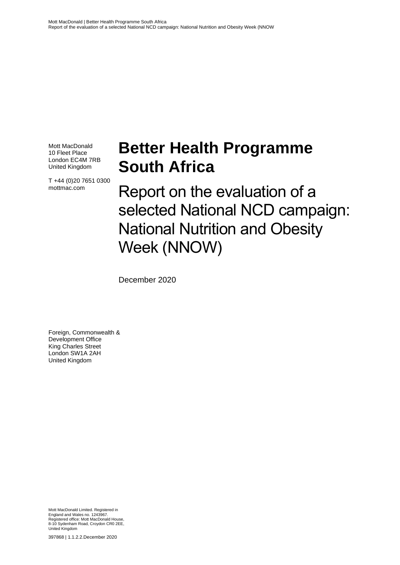Mott MacDonald 10 Fleet Place London EC4M 7RB United Kingdom

T +44 (0)20 7651 0300 mottmac.com

# **Better Health Programme South Africa**

Report on the evaluation of a selected National NCD campaign: National Nutrition and Obesity Week (NNOW)

December 2020

Foreign, Commonwealth & Development Office King Charles Street London SW1A 2AH United Kingdom

Mott MacDonald Limited. Registered in England and Wales no. 1243967. Registered office: Mott MacDonald House, 8-10 Sydenham Road, Croydon CR0 2EE, United Kingdom

397868 | 1.1.2.2.December 2020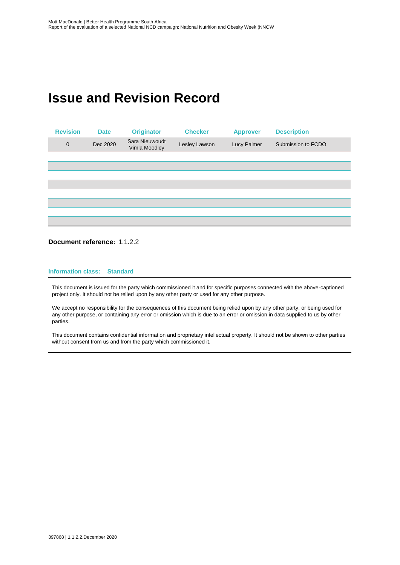## **Issue and Revision Record**



#### **Document reference:** 1.1.2.2

#### **Information class: Standard**

This document is issued for the party which commissioned it and for specific purposes connected with the above-captioned project only. It should not be relied upon by any other party or used for any other purpose.

We accept no responsibility for the consequences of this document being relied upon by any other party, or being used for any other purpose, or containing any error or omission which is due to an error or omission in data supplied to us by other parties.

This document contains confidential information and proprietary intellectual property. It should not be shown to other parties without consent from us and from the party which commissioned it.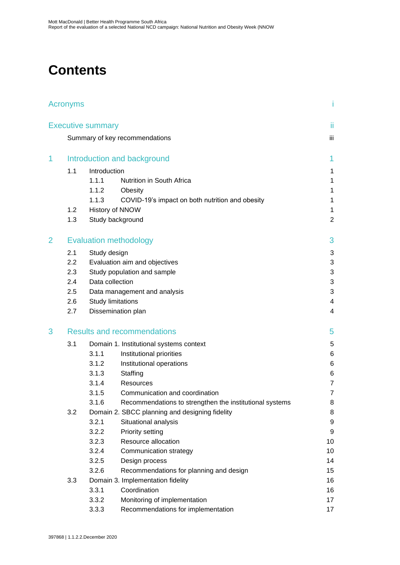## **Contents**

|   | Acronyms                           |                              |                                                         | Ť              |  |  |
|---|------------------------------------|------------------------------|---------------------------------------------------------|----------------|--|--|
|   |                                    | <b>Executive summary</b>     |                                                         | ii             |  |  |
|   |                                    |                              | Summary of key recommendations                          | iii            |  |  |
|   |                                    |                              |                                                         |                |  |  |
| 1 | Introduction and background        |                              |                                                         |                |  |  |
|   | 1.1                                | Introduction                 |                                                         | 1              |  |  |
| 3 |                                    | 1.1.1                        | Nutrition in South Africa                               | 1              |  |  |
|   |                                    | 1.1.2                        | Obesity                                                 | 1              |  |  |
|   |                                    | 1.1.3                        | COVID-19's impact on both nutrition and obesity         | 1              |  |  |
|   | 1.2                                |                              | History of NNOW                                         | 1              |  |  |
|   | 1.3                                |                              | Study background                                        | $\overline{2}$ |  |  |
| 2 |                                    |                              | <b>Evaluation methodology</b>                           | 3              |  |  |
|   | 2.1                                | Study design                 |                                                         |                |  |  |
|   | 2.2                                |                              | Evaluation aim and objectives                           | 3<br>3         |  |  |
|   | 2.3                                | Study population and sample  |                                                         |                |  |  |
|   | 2.4                                | Data collection              |                                                         |                |  |  |
|   | 2.5                                | Data management and analysis |                                                         |                |  |  |
|   | 2.6                                |                              | <b>Study limitations</b>                                |                |  |  |
|   | 2.7                                |                              | Dissemination plan                                      | 4              |  |  |
|   | <b>Results and recommendations</b> |                              |                                                         |                |  |  |
|   | 3.1                                |                              | Domain 1. Institutional systems context                 | 5              |  |  |
|   |                                    | 3.1.1                        | Institutional priorities                                | 6              |  |  |
|   |                                    | 3.1.2                        | Institutional operations                                | 6              |  |  |
|   |                                    | 3.1.3                        | Staffing                                                | 6              |  |  |
|   |                                    | 3.1.4                        | Resources                                               | $\overline{7}$ |  |  |
|   |                                    | 3.1.5                        | Communication and coordination                          | $\overline{7}$ |  |  |
|   |                                    | 3.1.6                        | Recommendations to strengthen the institutional systems | 8              |  |  |
|   | 3.2                                |                              | Domain 2. SBCC planning and designing fidelity          | 8              |  |  |
|   |                                    | 3.2.1                        | Situational analysis                                    | 9              |  |  |
|   |                                    | 3.2.2                        | Priority setting                                        | 9              |  |  |
|   |                                    | 3.2.3                        | Resource allocation                                     | 10             |  |  |
|   |                                    | 3.2.4                        | Communication strategy                                  | 10             |  |  |
|   |                                    | 3.2.5                        | Design process                                          | 14             |  |  |
|   |                                    | 3.2.6                        | Recommendations for planning and design                 | 15             |  |  |
|   | 3.3                                |                              | Domain 3. Implementation fidelity                       | 16             |  |  |
|   |                                    | 3.3.1                        | Coordination                                            | 16             |  |  |
|   |                                    | 3.3.2                        | Monitoring of implementation                            | 17             |  |  |
|   |                                    | 3.3.3                        | Recommendations for implementation                      | 17             |  |  |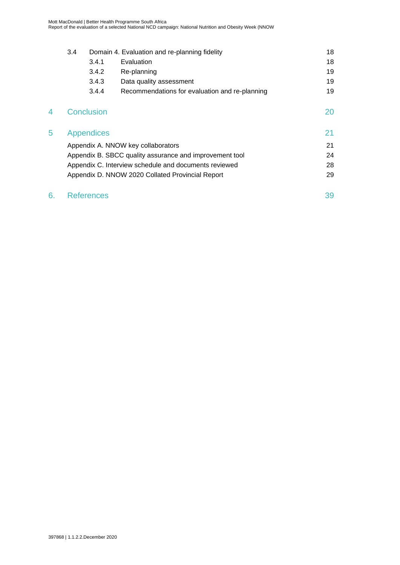|   | 3.4                                                   |                   | Domain 4. Evaluation and re-planning fidelity           | 18 |
|---|-------------------------------------------------------|-------------------|---------------------------------------------------------|----|
|   |                                                       | 3.4.1             | Evaluation                                              | 18 |
|   |                                                       | 3.4.2             | Re-planning                                             | 19 |
|   |                                                       | 3.4.3             | Data quality assessment                                 | 19 |
|   |                                                       | 3.4.4             | Recommendations for evaluation and re-planning          | 19 |
| 4 |                                                       | <b>Conclusion</b> |                                                         | 20 |
| 5 |                                                       | Appendices        |                                                         | 21 |
|   |                                                       |                   | Appendix A. NNOW key collaborators                      | 21 |
|   |                                                       |                   | Appendix B. SBCC quality assurance and improvement tool | 24 |
|   | Appendix C. Interview schedule and documents reviewed |                   |                                                         |    |
|   |                                                       |                   | Appendix D. NNOW 2020 Collated Provincial Report        | 29 |

## 6. [References](#page-49-0) 39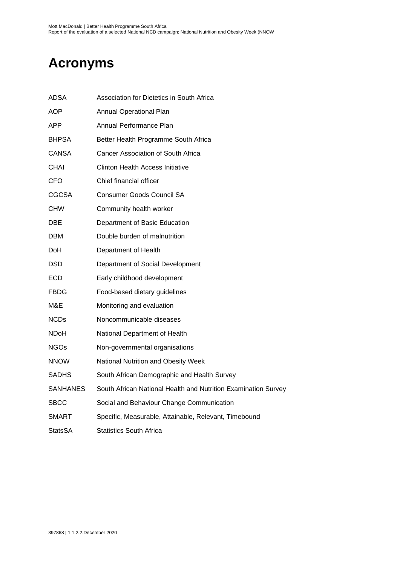# <span id="page-6-0"></span>**Acronyms**

| ADSA         | Association for Dietetics in South Africa                      |
|--------------|----------------------------------------------------------------|
| AOP          | <b>Annual Operational Plan</b>                                 |
| APP          | Annual Performance Plan                                        |
| <b>BHPSA</b> | Better Health Programme South Africa                           |
| <b>CANSA</b> | <b>Cancer Association of South Africa</b>                      |
| <b>CHAI</b>  | <b>Clinton Health Access Initiative</b>                        |
| <b>CFO</b>   | Chief financial officer                                        |
| <b>CGCSA</b> | <b>Consumer Goods Council SA</b>                               |
| <b>CHW</b>   | Community health worker                                        |
| DBE          | Department of Basic Education                                  |
| <b>DBM</b>   | Double burden of malnutrition                                  |
| <b>DoH</b>   | Department of Health                                           |
| <b>DSD</b>   | Department of Social Development                               |
| <b>ECD</b>   | Early childhood development                                    |
| <b>FBDG</b>  | Food-based dietary guidelines                                  |
| M&E          | Monitoring and evaluation                                      |
| <b>NCDs</b>  | Noncommunicable diseases                                       |
| NDoH         | National Department of Health                                  |
| <b>NGOs</b>  | Non-governmental organisations                                 |
| <b>NNOW</b>  | National Nutrition and Obesity Week                            |
| <b>SADHS</b> | South African Demographic and Health Survey                    |
| SANHANES     | South African National Health and Nutrition Examination Survey |
| <b>SBCC</b>  | Social and Behaviour Change Communication                      |
| SMART        | Specific, Measurable, Attainable, Relevant, Timebound          |
| StatsSA      | <b>Statistics South Africa</b>                                 |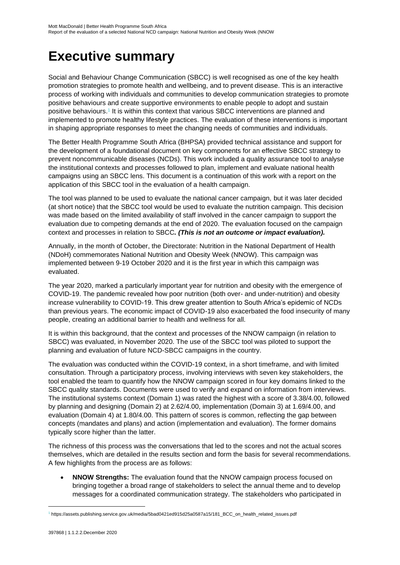## <span id="page-7-0"></span>**Executive summary**

Social and Behaviour Change Communication (SBCC) is well recognised as one of the key health promotion strategies to promote health and wellbeing, and to prevent disease. This is an interactive process of working with individuals and communities to develop communication strategies to promote positive behaviours and create supportive environments to enable people to adopt and sustain positive behaviours.<sup>1</sup> It is within this context that various SBCC interventions are planned and implemented to promote healthy lifestyle practices. The evaluation of these interventions is important in shaping appropriate responses to meet the changing needs of communities and individuals.

The Better Health Programme South Africa (BHPSA) provided technical assistance and support for the development of a foundational document on key components for an effective SBCC strategy to prevent noncommunicable diseases (NCDs). This work included a quality assurance tool to analyse the institutional contexts and processes followed to plan, implement and evaluate national health campaigns using an SBCC lens. This document is a continuation of this work with a report on the application of this SBCC tool in the evaluation of a health campaign.

The tool was planned to be used to evaluate the national cancer campaign, but it was later decided (at short notice) that the SBCC tool would be used to evaluate the nutrition campaign. This decision was made based on the limited availability of staff involved in the cancer campaign to support the evaluation due to competing demands at the end of 2020. The evaluation focused on the campaign context and processes in relation to SBCC*. (This is not an outcome or impact evaluation).*

Annually, in the month of October, the Directorate: Nutrition in the National Department of Health (NDoH) commemorates National Nutrition and Obesity Week (NNOW). This campaign was implemented between 9-19 October 2020 and it is the first year in which this campaign was evaluated.

The year 2020, marked a particularly important year for nutrition and obesity with the emergence of COVID-19. The pandemic revealed how poor nutrition (both over- and under-nutrition) and obesity increase vulnerability to COVID-19. This drew greater attention to South Africa's epidemic of NCDs than previous years. The economic impact of COVID-19 also exacerbated the food insecurity of many people, creating an additional barrier to health and wellness for all.

It is within this background, that the context and processes of the NNOW campaign (in relation to SBCC) was evaluated, in November 2020. The use of the SBCC tool was piloted to support the planning and evaluation of future NCD-SBCC campaigns in the country.

The evaluation was conducted within the COVID-19 context, in a short timeframe, and with limited consultation. Through a participatory process, involving interviews with seven key stakeholders, the tool enabled the team to quantify how the NNOW campaign scored in four key domains linked to the SBCC quality standards. Documents were used to verify and expand on information from interviews. The institutional systems context (Domain 1) was rated the highest with a score of 3.38/4.00, followed by planning and designing (Domain 2) at 2.62/4.00, implementation (Domain 3) at 1.69/4.00, and evaluation (Domain 4) at 1.80/4.00. This pattern of scores is common, reflecting the gap between concepts (mandates and plans) and action (implementation and evaluation). The former domains typically score higher than the latter.

The richness of this process was the conversations that led to the scores and not the actual scores themselves, which are detailed in the results section and form the basis for several recommendations. A few highlights from the process are as follows:

• **NNOW Strengths:** The evaluation found that the NNOW campaign process focused on bringing together a broad range of stakeholders to select the annual theme and to develop messages for a coordinated communication strategy. The stakeholders who participated in

<sup>1</sup> https://assets.publishing.service.gov.uk/media/5bad0421ed915d25a0587a15/181\_BCC\_on\_health\_related\_issues.pdf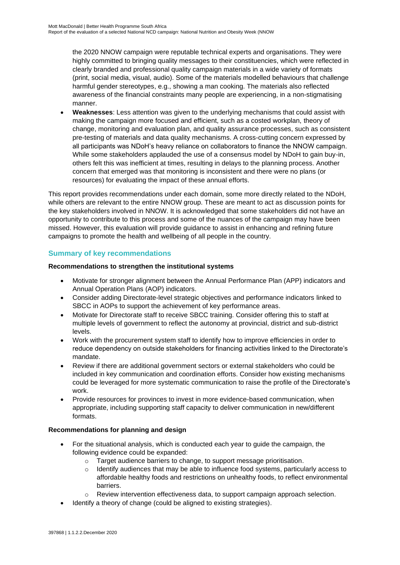the 2020 NNOW campaign were reputable technical experts and organisations. They were highly committed to bringing quality messages to their constituencies, which were reflected in clearly branded and professional quality campaign materials in a wide variety of formats (print, social media, visual, audio). Some of the materials modelled behaviours that challenge harmful gender stereotypes, e.g., showing a man cooking. The materials also reflected awareness of the financial constraints many people are experiencing, in a non-stigmatising manner.

• **Weaknesses**: Less attention was given to the underlying mechanisms that could assist with making the campaign more focused and efficient, such as a costed workplan, theory of change, monitoring and evaluation plan, and quality assurance processes, such as consistent pre-testing of materials and data quality mechanisms. A cross-cutting concern expressed by all participants was NDoH's heavy reliance on collaborators to finance the NNOW campaign. While some stakeholders applauded the use of a consensus model by NDoH to gain buy-in, others felt this was inefficient at times, resulting in delays to the planning process. Another concern that emerged was that monitoring is inconsistent and there were no plans (or resources) for evaluating the impact of these annual efforts.

This report provides recommendations under each domain, some more directly related to the NDoH, while others are relevant to the entire NNOW group. These are meant to act as discussion points for the key stakeholders involved in NNOW. It is acknowledged that some stakeholders did not have an opportunity to contribute to this process and some of the nuances of the campaign may have been missed. However, this evaluation will provide guidance to assist in enhancing and refining future campaigns to promote the health and wellbeing of all people in the country.

## <span id="page-8-0"></span>**Summary of key recommendations**

### **Recommendations to strengthen the institutional systems**

- Motivate for stronger alignment between the Annual Performance Plan (APP) indicators and Annual Operation Plans (AOP) indicators.
- Consider adding Directorate-level strategic objectives and performance indicators linked to SBCC in AOPs to support the achievement of key performance areas.
- Motivate for Directorate staff to receive SBCC training. Consider offering this to staff at multiple levels of government to reflect the autonomy at provincial, district and sub-district levels.
- Work with the procurement system staff to identify how to improve efficiencies in order to reduce dependency on outside stakeholders for financing activities linked to the Directorate's mandate.
- Review if there are additional government sectors or external stakeholders who could be included in key communication and coordination efforts. Consider how existing mechanisms could be leveraged for more systematic communication to raise the profile of the Directorate's work.
- Provide resources for provinces to invest in more evidence-based communication, when appropriate, including supporting staff capacity to deliver communication in new/different formats.

#### **Recommendations for planning and design**

- For the situational analysis, which is conducted each year to guide the campaign, the following evidence could be expanded:
	- o Target audience barriers to change, to support message prioritisation.
	- $\circ$  Identify audiences that may be able to influence food systems, particularly access to affordable healthy foods and restrictions on unhealthy foods, to reflect environmental barriers.
	- $\circ$  Review intervention effectiveness data, to support campaign approach selection.
- Identify a theory of change (could be aligned to existing strategies).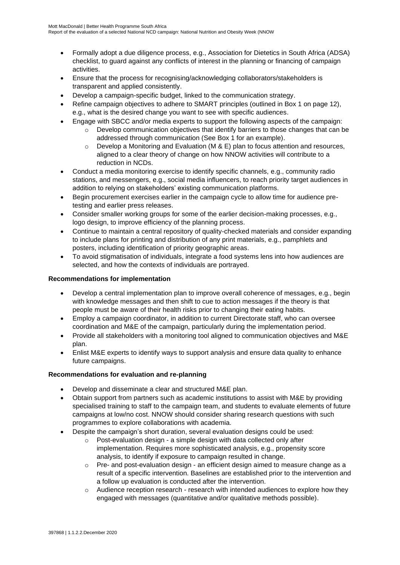- Formally adopt a due diligence process, e.g., Association for Dietetics in South Africa (ADSA) checklist, to guard against any conflicts of interest in the planning or financing of campaign activities.
- Ensure that the process for recognising/acknowledging collaborators/stakeholders is transparent and applied consistently.
- Develop a campaign-specific budget, linked to the communication strategy.
- Refine campaign objectives to adhere to SMART principles (outlined in Box 1 on page 12), e.g., what is the desired change you want to see with specific audiences.
- Engage with SBCC and/or media experts to support the following aspects of the campaign:
	- o Develop communication objectives that identify barriers to those changes that can be addressed through communication (See Box 1 for an example).
	- $\circ$  Develop a Monitoring and Evaluation (M & E) plan to focus attention and resources, aligned to a clear theory of change on how NNOW activities will contribute to a reduction in NCDs.
- Conduct a media monitoring exercise to identify specific channels, e.g., community radio stations, and messengers, e.g., social media influencers, to reach priority target audiences in addition to relying on stakeholders' existing communication platforms.
- Begin procurement exercises earlier in the campaign cycle to allow time for audience pretesting and earlier press releases.
- Consider smaller working groups for some of the earlier decision-making processes, e.g., logo design, to improve efficiency of the planning process.
- Continue to maintain a central repository of quality-checked materials and consider expanding to include plans for printing and distribution of any print materials, e.g., pamphlets and posters, including identification of priority geographic areas.
- To avoid stigmatisation of individuals, integrate a food systems lens into how audiences are selected, and how the contexts of individuals are portrayed.

#### **Recommendations for implementation**

- Develop a central implementation plan to improve overall coherence of messages, e.g., begin with knowledge messages and then shift to cue to action messages if the theory is that people must be aware of their health risks prior to changing their eating habits.
- Employ a campaign coordinator, in addition to current Directorate staff, who can oversee coordination and M&E of the campaign, particularly during the implementation period.
- Provide all stakeholders with a monitoring tool aligned to communication objectives and M&E plan.
- Enlist M&E experts to identify ways to support analysis and ensure data quality to enhance future campaigns.

#### **Recommendations for evaluation and re-planning**

- Develop and disseminate a clear and structured M&E plan.
- Obtain support from partners such as academic institutions to assist with M&E by providing specialised training to staff to the campaign team, and students to evaluate elements of future campaigns at low/no cost. NNOW should consider sharing research questions with such programmes to explore collaborations with academia.
- Despite the campaign's short duration, several evaluation designs could be used:
	- o Post-evaluation design a simple design with data collected only after implementation. Requires more sophisticated analysis, e.g., propensity score analysis, to identify if exposure to campaign resulted in change.
	- $\circ$  Pre- and post-evaluation design an efficient design aimed to measure change as a result of a specific intervention. Baselines are established prior to the intervention and a follow up evaluation is conducted after the intervention.
	- $\circ$  Audience reception research research with intended audiences to explore how they engaged with messages (quantitative and/or qualitative methods possible).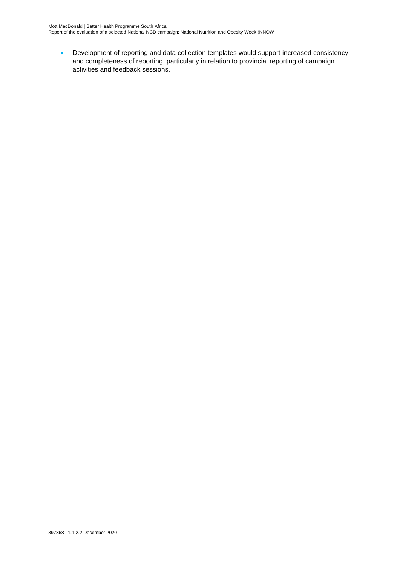• Development of reporting and data collection templates would support increased consistency and completeness of reporting, particularly in relation to provincial reporting of campaign activities and feedback sessions.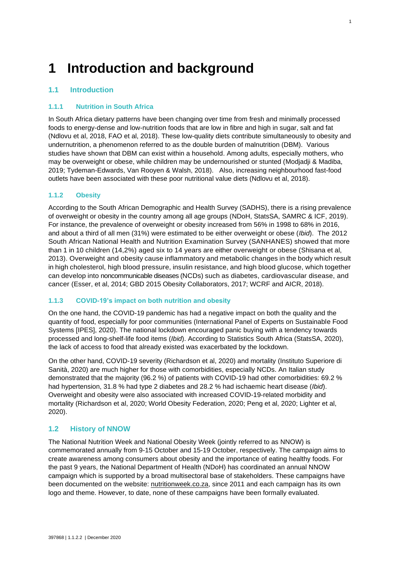# <span id="page-11-0"></span>**1 Introduction and background**

## <span id="page-11-1"></span>**1.1 Introduction**

#### <span id="page-11-2"></span>**1.1.1 Nutrition in South Africa**

In South Africa dietary patterns have been changing over time from fresh and minimally processed foods to energy-dense and low-nutrition foods that are low in fibre and high in sugar, salt and fat (Ndlovu et al, 2018, FAO et al, 2018). These low-quality diets contribute simultaneously to obesity and undernutrition, a phenomenon referred to as the double burden of malnutrition (DBM). Various studies have shown that DBM can exist within a household. Among adults, especially mothers, who may be overweight or obese, while children may be undernourished or stunted (Modjadji & Madiba, 2019; Tydeman-Edwards, Van Rooyen & Walsh, 2018). Also, increasing neighbourhood fast-food outlets have been associated with these poor nutritional value diets (Ndlovu et al, 2018).

1

### <span id="page-11-3"></span>**1.1.2 Obesity**

According to the South African Demographic and Health Survey (SADHS), there is a rising prevalence of overweight or obesity in the country among all age groups (NDoH, StatsSA, SAMRC & ICF, 2019). For instance, the prevalence of overweight or obesity increased from 56% in 1998 to 68% in 2016, and about a third of all men (31%) were estimated to be either overweight or obese (*Ibid*). The 2012 South African National Health and Nutrition Examination Survey (SANHANES) showed that more than 1 in 10 children (14,2%) aged six to 14 years are either overweight or obese (Shisana et al, 2013). Overweight and obesity cause inflammatory and metabolic changes in the body which result in high cholesterol, high blood pressure, insulin resistance, and high blood glucose, which together can develop into noncommunicable diseases (NCDs) such as diabetes, cardiovascular disease, and cancer (Esser, et al, 2014; GBD 2015 Obesity Collaborators, 2017; WCRF and AICR, 2018).

#### <span id="page-11-4"></span>**1.1.3 COVID-19's impact on both nutrition and obesity**

On the one hand, the COVID-19 pandemic has had a negative impact on both the quality and the quantity of food, especially for poor communities (International Panel of Experts on Sustainable Food Systems [IPES], 2020). The national lockdown encouraged panic buying with a tendency towards processed and long-shelf-life food items (*Ibid*). According to Statistics South Africa (StatsSA, 2020), the lack of access to food that already existed was exacerbated by the lockdown.

On the other hand, COVID-19 severity (Richardson et al, 2020) and mortality (Instituto Superiore di Sanità, 2020) are much higher for those with comorbidities, especially NCDs. An Italian study demonstrated that the majority (96.2 %) of patients with COVID-19 had other comorbidities: 69.2 % had hypertension, 31.8 % had type 2 diabetes and 28.2 % had ischaemic heart disease (*Ibid*). Overweight and obesity were also associated with increased COVID-19-related morbidity and mortality (Richardson et al, 2020; World Obesity Federation, 2020; Peng et al, 2020; Lighter et al, 2020).

## <span id="page-11-5"></span>**1.2 History of NNOW**

The National Nutrition Week and National Obesity Week (jointly referred to as NNOW) is commemorated annually from 9-15 October and 15-19 October, respectively. The campaign aims to create awareness among consumers about obesity and the importance of eating healthy foods. For the past 9 years, the National Department of Health (NDoH) has coordinated an annual NNOW campaign which is supported by a broad multisectoral base of stakeholders. These campaigns have been documented on the website: nutritionweek.co.za, since 2011 and each campaign has its own logo and theme. However, to date, none of these campaigns have been formally evaluated.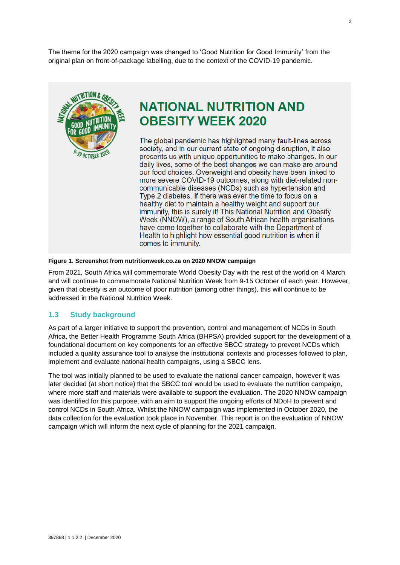The theme for the 2020 campaign was changed to 'Good Nutrition for Good Immunity' from the original plan on front-of-package labelling, due to the context of the COVID-19 pandemic.



## **NATIONAL NUTRITION AND OBESITY WEEK 2020**

The global pandemic has highlighted many fault-lines across society, and in our current state of ongoing disruption, it also presents us with unique opportunities to make changes. In our daily lives, some of the best changes we can make are around our food choices. Overweight and obesity have been linked to more severe COVID-19 outcomes, along with diet-related noncommunicable diseases (NCDs) such as hypertension and Type 2 diabetes. If there was ever the time to focus on a healthy diet to maintain a healthy weight and support our immunity, this is surely it! This National Nutrition and Obesity Week (NNOW), a range of South African health organisations have come together to collaborate with the Department of Health to highlight how essential good nutrition is when it comes to immunity.

#### **Figure 1. Screenshot from nutritionweek.co.za on 2020 NNOW campaign**

From 2021, South Africa will commemorate World Obesity Day with the rest of the world on 4 March and will continue to commemorate National Nutrition Week from 9-15 October of each year. However, given that obesity is an outcome of poor nutrition (among other things), this will continue to be addressed in the National Nutrition Week.

#### <span id="page-12-0"></span>**1.3 Study background**

As part of a larger initiative to support the prevention, control and management of NCDs in South Africa, the Better Health Programme South Africa (BHPSA) provided support for the development of a foundational document on key components for an effective SBCC strategy to prevent NCDs which included a quality assurance tool to analyse the institutional contexts and processes followed to plan, implement and evaluate national health campaigns, using a SBCC lens.

The tool was initially planned to be used to evaluate the national cancer campaign, however it was later decided (at short notice) that the SBCC tool would be used to evaluate the nutrition campaign, where more staff and materials were available to support the evaluation. The 2020 NNOW campaign was identified for this purpose, with an aim to support the ongoing efforts of NDoH to prevent and control NCDs in South Africa. Whilst the NNOW campaign was implemented in October 2020, the data collection for the evaluation took place in November. This report is on the evaluation of NNOW campaign which will inform the next cycle of planning for the 2021 campaign.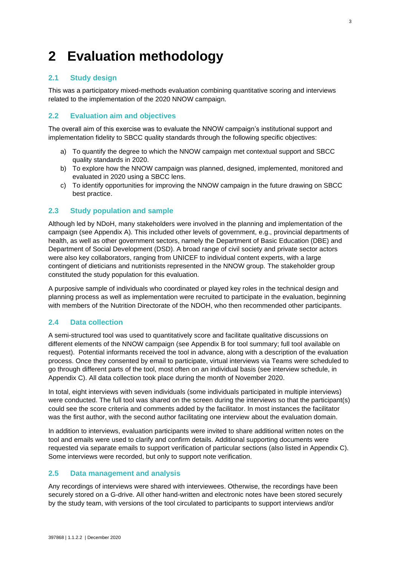# <span id="page-13-0"></span>**2 Evaluation methodology**

## <span id="page-13-1"></span>**2.1 Study design**

This was a participatory mixed-methods evaluation combining quantitative scoring and interviews related to the implementation of the 2020 NNOW campaign.

### <span id="page-13-2"></span>**2.2 Evaluation aim and objectives**

The overall aim of this exercise was to evaluate the NNOW campaign's institutional support and implementation fidelity to SBCC quality standards through the following specific objectives:

- a) To quantify the degree to which the NNOW campaign met contextual support and SBCC quality standards in 2020.
- b) To explore how the NNOW campaign was planned, designed, implemented, monitored and evaluated in 2020 using a SBCC lens.
- c) To identify opportunities for improving the NNOW campaign in the future drawing on SBCC best practice.

#### <span id="page-13-3"></span>**2.3 Study population and sample**

Although led by NDoH, many stakeholders were involved in the planning and implementation of the campaign (see Appendix A). This included other levels of government, e.g., provincial departments of health, as well as other government sectors, namely the Department of Basic Education (DBE) and Department of Social Development (DSD). A broad range of civil society and private sector actors were also key collaborators, ranging from UNICEF to individual content experts, with a large contingent of dieticians and nutritionists represented in the NNOW group. The stakeholder group constituted the study population for this evaluation.

A purposive sample of individuals who coordinated or played key roles in the technical design and planning process as well as implementation were recruited to participate in the evaluation, beginning with members of the Nutrition Directorate of the NDOH, who then recommended other participants.

#### <span id="page-13-4"></span>**2.4 Data collection**

A semi-structured tool was used to quantitatively score and facilitate qualitative discussions on different elements of the NNOW campaign (see Appendix B for tool summary; full tool available on request). Potential informants received the tool in advance, along with a description of the evaluation process. Once they consented by email to participate, virtual interviews via Teams were scheduled to go through different parts of the tool, most often on an individual basis (see interview schedule, in Appendix C). All data collection took place during the month of November 2020.

In total, eight interviews with seven individuals (some individuals participated in multiple interviews) were conducted. The full tool was shared on the screen during the interviews so that the participant(s) could see the score criteria and comments added by the facilitator. In most instances the facilitator was the first author, with the second author facilitating one interview about the evaluation domain.

In addition to interviews, evaluation participants were invited to share additional written notes on the tool and emails were used to clarify and confirm details. Additional supporting documents were requested via separate emails to support verification of particular sections (also listed in Appendix C). Some interviews were recorded, but only to support note verification.

#### <span id="page-13-5"></span>**2.5 Data management and analysis**

Any recordings of interviews were shared with interviewees. Otherwise, the recordings have been securely stored on a G-drive. All other hand-written and electronic notes have been stored securely by the study team, with versions of the tool circulated to participants to support interviews and/or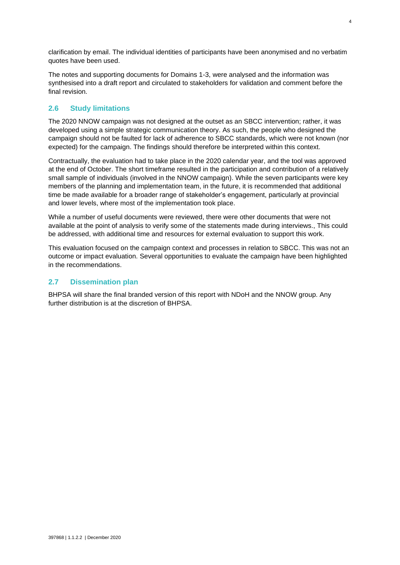clarification by email. The individual identities of participants have been anonymised and no verbatim quotes have been used.

The notes and supporting documents for Domains 1-3, were analysed and the information was synthesised into a draft report and circulated to stakeholders for validation and comment before the final revision.

### <span id="page-14-0"></span>**2.6 Study limitations**

The 2020 NNOW campaign was not designed at the outset as an SBCC intervention; rather, it was developed using a simple strategic communication theory. As such, the people who designed the campaign should not be faulted for lack of adherence to SBCC standards, which were not known (nor expected) for the campaign. The findings should therefore be interpreted within this context.

Contractually, the evaluation had to take place in the 2020 calendar year, and the tool was approved at the end of October. The short timeframe resulted in the participation and contribution of a relatively small sample of individuals (involved in the NNOW campaign). While the seven participants were key members of the planning and implementation team, in the future, it is recommended that additional time be made available for a broader range of stakeholder's engagement, particularly at provincial and lower levels, where most of the implementation took place.

While a number of useful documents were reviewed, there were other documents that were not available at the point of analysis to verify some of the statements made during interviews., This could be addressed, with additional time and resources for external evaluation to support this work.

This evaluation focused on the campaign context and processes in relation to SBCC. This was not an outcome or impact evaluation. Several opportunities to evaluate the campaign have been highlighted in the recommendations.

#### <span id="page-14-1"></span>**2.7 Dissemination plan**

BHPSA will share the final branded version of this report with NDoH and the NNOW group. Any further distribution is at the discretion of BHPSA.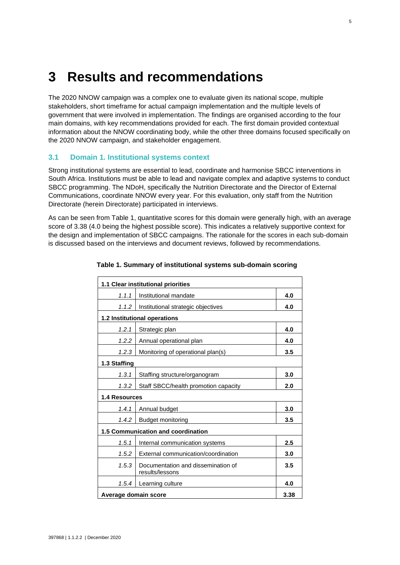## <span id="page-15-0"></span>**3 Results and recommendations**

The 2020 NNOW campaign was a complex one to evaluate given its national scope, multiple stakeholders, short timeframe for actual campaign implementation and the multiple levels of government that were involved in implementation. The findings are organised according to the four main domains, with key recommendations provided for each. The first domain provided contextual information about the NNOW coordinating body, while the other three domains focused specifically on the 2020 NNOW campaign, and stakeholder engagement.

## <span id="page-15-1"></span>**3.1 Domain 1. Institutional systems context**

Strong institutional systems are essential to lead, coordinate and harmonise SBCC interventions in South Africa. Institutions must be able to lead and navigate complex and adaptive systems to conduct SBCC programming. The NDoH, specifically the Nutrition Directorate and the Director of External Communications, coordinate NNOW every year. For this evaluation, only staff from the Nutrition Directorate (herein Directorate) participated in interviews.

As can be seen from Table 1, quantitative scores for this domain were generally high, with an average score of 3.38 (4.0 being the highest possible score). This indicates a relatively supportive context for the design and implementation of SBCC campaigns. The rationale for the scores in each sub-domain is discussed based on the interviews and document reviews, followed by recommendations.

|                      | 1.1 Clear institutional priorities                    |      |  |  |  |  |
|----------------------|-------------------------------------------------------|------|--|--|--|--|
| 1.1.1                | Institutional mandate                                 |      |  |  |  |  |
| 1.1.2                | Institutional strategic objectives                    | 4.0  |  |  |  |  |
|                      | 1.2 Institutional operations                          |      |  |  |  |  |
| 1.2.1                | Strategic plan                                        | 4.0  |  |  |  |  |
| 1.2.2                | Annual operational plan                               | 4.0  |  |  |  |  |
| 1.2.3                | Monitoring of operational plan(s)                     | 3.5  |  |  |  |  |
| 1.3 Staffing         |                                                       |      |  |  |  |  |
| 1.3.1                | Staffing structure/organogram                         | 3.0  |  |  |  |  |
| 1.3.2                | Staff SBCC/health promotion capacity                  | 2.0  |  |  |  |  |
| <b>1.4 Resources</b> |                                                       |      |  |  |  |  |
| 1.4.1                | Annual budget                                         | 3.0  |  |  |  |  |
| 1.4.2                | <b>Budget monitoring</b>                              | 3.5  |  |  |  |  |
|                      | 1.5 Communication and coordination                    |      |  |  |  |  |
| 1.5.1                | Internal communication systems                        | 2.5  |  |  |  |  |
| 1.5.2                | External communication/coordination                   | 3.0  |  |  |  |  |
| 1.5.3                | Documentation and dissemination of<br>results/lessons | 3.5  |  |  |  |  |
| 1.5.4                | Learning culture                                      | 4.0  |  |  |  |  |
| Average domain score |                                                       | 3.38 |  |  |  |  |

#### **Table 1. Summary of institutional systems sub-domain scoring**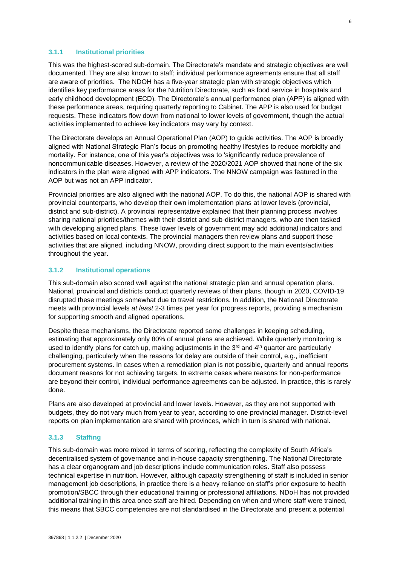#### <span id="page-16-0"></span>**3.1.1 Institutional priorities**

This was the highest-scored sub-domain. The Directorate's mandate and strategic objectives are well documented. They are also known to staff; individual performance agreements ensure that all staff are aware of priorities. The NDOH has a five-year strategic plan with strategic objectives which identifies key performance areas for the Nutrition Directorate, such as food service in hospitals and early childhood development (ECD). The Directorate's annual performance plan (APP) is aligned with these performance areas, requiring quarterly reporting to Cabinet. The APP is also used for budget requests. These indicators flow down from national to lower levels of government, though the actual activities implemented to achieve key indicators may vary by context.

The Directorate develops an Annual Operational Plan (AOP) to guide activities. The AOP is broadly aligned with National Strategic Plan's focus on promoting healthy lifestyles to reduce morbidity and mortality. For instance, one of this year's objectives was to 'significantly reduce prevalence of noncommunicable diseases. However, a review of the 2020/2021 AOP showed that none of the six indicators in the plan were aligned with APP indicators. The NNOW campaign was featured in the AOP but was not an APP indicator.

Provincial priorities are also aligned with the national AOP. To do this, the national AOP is shared with provincial counterparts, who develop their own implementation plans at lower levels (provincial, district and sub-district). A provincial representative explained that their planning process involves sharing national priorities/themes with their district and sub-district managers, who are then tasked with developing aligned plans. These lower levels of government may add additional indicators and activities based on local contexts. The provincial managers then review plans and support those activities that are aligned, including NNOW, providing direct support to the main events/activities throughout the year.

#### <span id="page-16-1"></span>**3.1.2 Institutional operations**

This sub-domain also scored well against the national strategic plan and annual operation plans. National, provincial and districts conduct quarterly reviews of their plans, though in 2020, COVID-19 disrupted these meetings somewhat due to travel restrictions. In addition, the National Directorate meets with provincial levels *at least* 2-3 times per year for progress reports, providing a mechanism for supporting smooth and aligned operations.

Despite these mechanisms, the Directorate reported some challenges in keeping scheduling, estimating that approximately only 80% of annual plans are achieved. While quarterly monitoring is used to identify plans for catch up, making adjustments in the  $3<sup>rd</sup>$  and  $4<sup>th</sup>$  quarter are particularly challenging, particularly when the reasons for delay are outside of their control, e.g., inefficient procurement systems. In cases when a remediation plan is not possible, quarterly and annual reports document reasons for not achieving targets. In extreme cases where reasons for non-performance are beyond their control, individual performance agreements can be adjusted. In practice, this is rarely done.

Plans are also developed at provincial and lower levels. However, as they are not supported with budgets, they do not vary much from year to year, according to one provincial manager. District-level reports on plan implementation are shared with provinces, which in turn is shared with national.

#### <span id="page-16-2"></span>**3.1.3 Staffing**

This sub-domain was more mixed in terms of scoring, reflecting the complexity of South Africa's decentralised system of governance and in-house capacity strengthening. The National Directorate has a clear organogram and job descriptions include communication roles. Staff also possess technical expertise in nutrition. However, although capacity strengthening of staff is included in senior management job descriptions, in practice there is a heavy reliance on staff's prior exposure to health promotion/SBCC through their educational training or professional affiliations. NDoH has not provided additional training in this area once staff are hired. Depending on when and where staff were trained, this means that SBCC competencies are not standardised in the Directorate and present a potential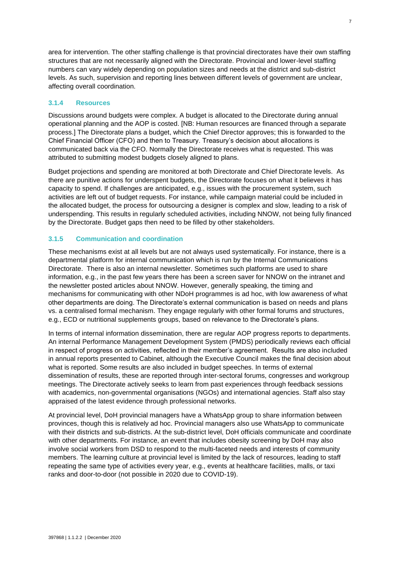area for intervention. The other staffing challenge is that provincial directorates have their own staffing structures that are not necessarily aligned with the Directorate. Provincial and lower-level staffing numbers can vary widely depending on population sizes and needs at the district and sub-district levels. As such, supervision and reporting lines between different levels of government are unclear, affecting overall coordination.

#### <span id="page-17-0"></span>**3.1.4 Resources**

Discussions around budgets were complex. A budget is allocated to the Directorate during annual operational planning and the AOP is costed. [NB: Human resources are financed through a separate process.] The Directorate plans a budget, which the Chief Director approves; this is forwarded to the Chief Financial Officer (CFO) and then to Treasury. Treasury's decision about allocations is communicated back via the CFO. Normally the Directorate receives what is requested. This was attributed to submitting modest budgets closely aligned to plans.

Budget projections and spending are monitored at both Directorate and Chief Directorate levels. As there are punitive actions for underspent budgets, the Directorate focuses on what it believes it has capacity to spend. If challenges are anticipated, e.g., issues with the procurement system, such activities are left out of budget requests. For instance, while campaign material could be included in the allocated budget, the process for outsourcing a designer is complex and slow, leading to a risk of underspending. This results in regularly scheduled activities, including NNOW, not being fully financed by the Directorate. Budget gaps then need to be filled by other stakeholders.

#### <span id="page-17-1"></span>**3.1.5 Communication and coordination**

These mechanisms exist at all levels but are not always used systematically. For instance, there is a departmental platform for internal communication which is run by the Internal Communications Directorate. There is also an internal newsletter. Sometimes such platforms are used to share information, e.g., in the past few years there has been a screen saver for NNOW on the intranet and the newsletter posted articles about NNOW. However, generally speaking, the timing and mechanisms for communicating with other NDoH programmes is ad hoc, with low awareness of what other departments are doing. The Directorate's external communication is based on needs and plans vs. a centralised formal mechanism. They engage regularly with other formal forums and structures, e.g., ECD or nutritional supplements groups, based on relevance to the Directorate's plans.

In terms of internal information dissemination, there are regular AOP progress reports to departments. An internal Performance Management Development System (PMDS) periodically reviews each official in respect of progress on activities, reflected in their member's agreement. Results are also included in annual reports presented to Cabinet, although the Executive Council makes the final decision about what is reported. Some results are also included in budget speeches. In terms of external dissemination of results, these are reported through inter-sectoral forums, congresses and workgroup meetings. The Directorate actively seeks to learn from past experiences through feedback sessions with academics, non-governmental organisations (NGOs) and international agencies. Staff also stay appraised of the latest evidence through professional networks.

At provincial level, DoH provincial managers have a WhatsApp group to share information between provinces, though this is relatively ad hoc. Provincial managers also use WhatsApp to communicate with their districts and sub-districts. At the sub-district level, DoH officials communicate and coordinate with other departments. For instance, an event that includes obesity screening by DoH may also involve social workers from DSD to respond to the multi-faceted needs and interests of community members. The learning culture at provincial level is limited by the lack of resources, leading to staff repeating the same type of activities every year, e.g., events at healthcare facilities, malls, or taxi ranks and door-to-door (not possible in 2020 due to COVID-19).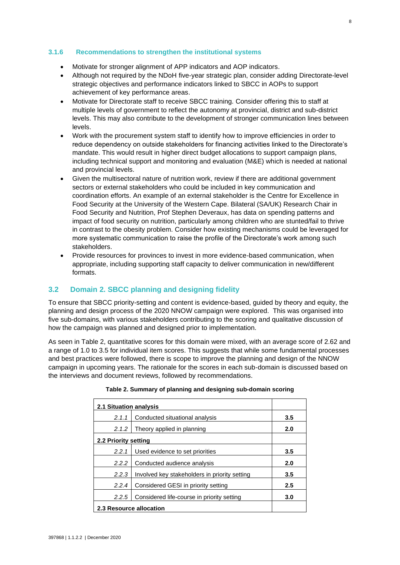#### <span id="page-18-0"></span>**3.1.6 Recommendations to strengthen the institutional systems**

- Motivate for stronger alignment of APP indicators and AOP indicators.
- Although not required by the NDoH five-year strategic plan, consider adding Directorate-level strategic objectives and performance indicators linked to SBCC in AOPs to support achievement of key performance areas.
- Motivate for Directorate staff to receive SBCC training. Consider offering this to staff at multiple levels of government to reflect the autonomy at provincial, district and sub-district levels. This may also contribute to the development of stronger communication lines between levels.
- Work with the procurement system staff to identify how to improve efficiencies in order to reduce dependency on outside stakeholders for financing activities linked to the Directorate's mandate. This would result in higher direct budget allocations to support campaign plans, including technical support and monitoring and evaluation (M&E) which is needed at national and provincial levels.
- Given the multisectoral nature of nutrition work, review if there are additional government sectors or external stakeholders who could be included in key communication and coordination efforts. An example of an external stakeholder is the Centre for Excellence in Food Security at the University of the Western Cape. Bilateral (SA/UK) Research Chair in Food Security and Nutrition, Prof Stephen Deveraux, has data on spending patterns and impact of food security on nutrition, particularly among children who are stunted/fail to thrive in contrast to the obesity problem. Consider how existing mechanisms could be leveraged for more systematic communication to raise the profile of the Directorate's work among such stakeholders.
- Provide resources for provinces to invest in more evidence-based communication, when appropriate, including supporting staff capacity to deliver communication in new/different formats.

## <span id="page-18-1"></span>**3.2 Domain 2. SBCC planning and designing fidelity**

To ensure that SBCC priority-setting and content is evidence-based, guided by theory and equity, the planning and design process of the 2020 NNOW campaign were explored. This was organised into five sub-domains, with various stakeholders contributing to the scoring and qualitative discussion of how the campaign was planned and designed prior to implementation.

As seen in Table 2, quantitative scores for this domain were mixed, with an average score of 2.62 and a range of 1.0 to 3.5 for individual item scores. This suggests that while some fundamental processes and best practices were followed, there is scope to improve the planning and design of the NNOW campaign in upcoming years. The rationale for the scores in each sub-domain is discussed based on the interviews and document reviews, followed by recommendations.

| 2.1 Situation analysis                                 |                                            |     |
|--------------------------------------------------------|--------------------------------------------|-----|
| 2.1.1                                                  | Conducted situational analysis             | 3.5 |
| 2.1.2                                                  | Theory applied in planning                 | 2.0 |
| 2.2 Priority setting                                   |                                            |     |
| 2.2.1<br>Used evidence to set priorities               |                                            | 3.5 |
| 2.2.2                                                  | Conducted audience analysis                |     |
| Involved key stakeholders in priority setting<br>2.2.3 |                                            | 3.5 |
| 2.2.4<br>Considered GESI in priority setting           |                                            | 2.5 |
| 2.2.5                                                  | Considered life-course in priority setting | 3.0 |
| 2.3 Resource allocation                                |                                            |     |

#### **Table 2. Summary of planning and designing sub-domain scoring**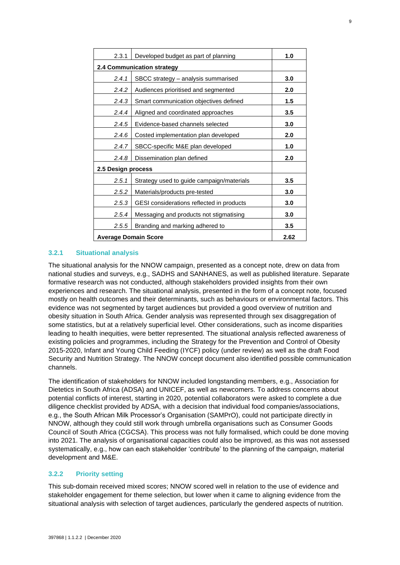| 2.3.1                                              | Developed budget as part of planning    | 1.0 |  |
|----------------------------------------------------|-----------------------------------------|-----|--|
| 2.4 Communication strategy                         |                                         |     |  |
| 2.4.1                                              | SBCC strategy - analysis summarised     | 3.0 |  |
| 2.4.2                                              | Audiences prioritised and segmented     | 2.0 |  |
| 2.4.3                                              | Smart communication objectives defined  | 1.5 |  |
| 2.4.4                                              | Aligned and coordinated approaches      | 3.5 |  |
| Evidence-based channels selected<br>2.4.5          |                                         | 3.0 |  |
| 2.4.6<br>Costed implementation plan developed      |                                         | 2.0 |  |
| 2.4.7<br>SBCC-specific M&E plan developed          |                                         | 1.0 |  |
| 2.4.8                                              | Dissemination plan defined              | 2.0 |  |
| 2.5 Design process                                 |                                         |     |  |
| 2.5.1<br>Strategy used to guide campaign/materials |                                         | 3.5 |  |
| 2.5.2<br>Materials/products pre-tested             |                                         | 3.0 |  |
| 2.5.3<br>GESI considerations reflected in products |                                         | 3.0 |  |
| 2.5.4                                              | Messaging and products not stigmatising |     |  |
| 2.5.5                                              | Branding and marking adhered to         | 3.5 |  |
| <b>Average Domain Score</b>                        |                                         |     |  |

#### <span id="page-19-0"></span>**3.2.1 Situational analysis**

The situational analysis for the NNOW campaign, presented as a concept note, drew on data from national studies and surveys, e.g., SADHS and SANHANES, as well as published literature. Separate formative research was not conducted, although stakeholders provided insights from their own experiences and research. The situational analysis, presented in the form of a concept note, focused mostly on health outcomes and their determinants, such as behaviours or environmental factors. This evidence was not segmented by target audiences but provided a good overview of nutrition and obesity situation in South Africa. Gender analysis was represented through sex disaggregation of some statistics, but at a relatively superficial level. Other considerations, such as income disparities leading to health inequities, were better represented. The situational analysis reflected awareness of existing policies and programmes, including the Strategy for the Prevention and Control of Obesity 2015-2020, Infant and Young Child Feeding (IYCF) policy (under review) as well as the draft Food Security and Nutrition Strategy. The NNOW concept document also identified possible communication channels.

The identification of stakeholders for NNOW included longstanding members, e.g., Association for Dietetics in South Africa (ADSA) and UNICEF, as well as newcomers. To address concerns about potential conflicts of interest, starting in 2020, potential collaborators were asked to complete a due diligence checklist provided by ADSA, with a decision that individual food companies/associations, e.g., the South African Milk Processor's Organisation (SAMPrO), could not participate directly in NNOW, although they could still work through umbrella organisations such as Consumer Goods Council of South Africa (CGCSA). This process was not fully formalised, which could be done moving into 2021. The analysis of organisational capacities could also be improved, as this was not assessed systematically, e.g., how can each stakeholder 'contribute' to the planning of the campaign, material development and M&E.

#### <span id="page-19-1"></span>**3.2.2 Priority setting**

This sub-domain received mixed scores; NNOW scored well in relation to the use of evidence and stakeholder engagement for theme selection, but lower when it came to aligning evidence from the situational analysis with selection of target audiences, particularly the gendered aspects of nutrition.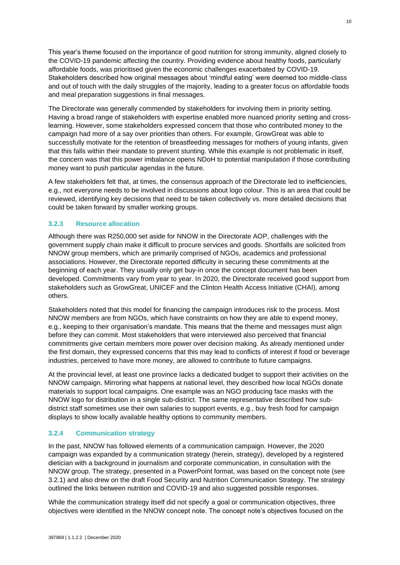This year's theme focused on the importance of good nutrition for strong immunity, aligned closely to the COVID-19 pandemic affecting the country. Providing evidence about healthy foods, particularly affordable foods, was prioritised given the economic challenges exacerbated by COVID-19. Stakeholders described how original messages about 'mindful eating' were deemed too middle-class and out of touch with the daily struggles of the majority, leading to a greater focus on affordable foods and meal preparation suggestions in final messages.

The Directorate was generally commended by stakeholders for involving them in priority setting. Having a broad range of stakeholders with expertise enabled more nuanced priority setting and crosslearning. However, some stakeholders expressed concern that those who contributed money to the campaign had more of a say over priorities than others. For example, GrowGreat was able to successfully motivate for the retention of breastfeeding messages for mothers of young infants, given that this falls within their mandate to prevent stunting. While this example is not problematic in itself, the concern was that this power imbalance opens NDoH to potential manipulation if those contributing money want to push particular agendas in the future.

A few stakeholders felt that, at times, the consensus approach of the Directorate led to inefficiencies, e.g., not everyone needs to be involved in discussions about logo colour. This is an area that could be reviewed, identifying key decisions that need to be taken collectively vs. more detailed decisions that could be taken forward by smaller working groups.

#### <span id="page-20-0"></span>**3.2.3 Resource allocation**

Although there was R250,000 set aside for NNOW in the Directorate AOP, challenges with the government supply chain make it difficult to procure services and goods. Shortfalls are solicited from NNOW group members, which are primarily comprised of NGOs, academics and professional associations. However, the Directorate reported difficulty in securing these commitments at the beginning of each year. They usually only get buy-in once the concept document has been developed. Commitments vary from year to year. In 2020, the Directorate received good support from stakeholders such as GrowGreat, UNICEF and the Clinton Health Access Initiative (CHAI), among others.

Stakeholders noted that this model for financing the campaign introduces risk to the process. Most NNOW members are from NGOs, which have constraints on how they are able to expend money, e.g., keeping to their organisation's mandate. This means that the theme and messages must align before they can commit. Most stakeholders that were interviewed also perceived that financial commitments give certain members more power over decision making. As already mentioned under the first domain, they expressed concerns that this may lead to conflicts of interest if food or beverage industries, perceived to have more money, are allowed to contribute to future campaigns.

At the provincial level, at least one province lacks a dedicated budget to support their activities on the NNOW campaign. Mirroring what happens at national level, they described how local NGOs donate materials to support local campaigns. One example was an NGO producing face masks with the NNOW logo for distribution in a single sub-district. The same representative described how subdistrict staff sometimes use their own salaries to support events, e.g., buy fresh food for campaign displays to show locally available healthy options to community members.

#### <span id="page-20-1"></span>**3.2.4 Communication strategy**

In the past, NNOW has followed elements of a communication campaign. However, the 2020 campaign was expanded by a communication strategy (herein, strategy), developed by a registered dietician with a background in journalism and corporate communication, in consultation with the NNOW group. The strategy, presented in a PowerPoint format, was based on the concept note (see 3.2.1) and also drew on the draft Food Security and Nutrition Communication Strategy. The strategy outlined the links between nutrition and COVID-19 and also suggested possible responses.

While the communication strategy itself did not specify a goal or communication objectives, three objectives were identified in the NNOW concept note. The concept note's objectives focused on the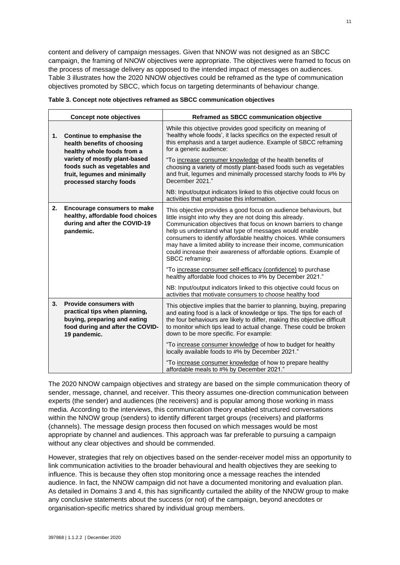content and delivery of campaign messages. Given that NNOW was not designed as an SBCC campaign, the framing of NNOW objectives were appropriate. The objectives were framed to focus on the process of message delivery as opposed to the intended impact of messages on audiences. Table 3 illustrates how the 2020 NNOW objectives could be reframed as the type of communication objectives promoted by SBCC, which focus on targeting determinants of behaviour change.

|    | <b>Concept note objectives</b>                                                                                                                                                                                     | Reframed as SBCC communication objective                                                                                                                                                                                                                                                                                                                                                                                                                                                                                                                                                                               |
|----|--------------------------------------------------------------------------------------------------------------------------------------------------------------------------------------------------------------------|------------------------------------------------------------------------------------------------------------------------------------------------------------------------------------------------------------------------------------------------------------------------------------------------------------------------------------------------------------------------------------------------------------------------------------------------------------------------------------------------------------------------------------------------------------------------------------------------------------------------|
| 1. | Continue to emphasise the<br>health benefits of choosing<br>healthy whole foods from a<br>variety of mostly plant-based<br>foods such as vegetables and<br>fruit, legumes and minimally<br>processed starchy foods | While this objective provides good specificity on meaning of<br>'healthy whole foods', it lacks specifics on the expected result of<br>this emphasis and a target audience. Example of SBCC reframing<br>for a generic audience:<br>"To increase consumer knowledge of the health benefits of<br>choosing a variety of mostly plant-based foods such as vegetables<br>and fruit, legumes and minimally processed starchy foods to #% by<br>December 2021."                                                                                                                                                             |
|    |                                                                                                                                                                                                                    | NB: Input/output indicators linked to this objective could focus on<br>activities that emphasise this information.                                                                                                                                                                                                                                                                                                                                                                                                                                                                                                     |
| 2. | <b>Encourage consumers to make</b><br>healthy, affordable food choices<br>during and after the COVID-19<br>pandemic.                                                                                               | This objective provides a good focus on audience behaviours, but<br>little insight into why they are not doing this already.<br>Communication objectives that focus on known barriers to change<br>help us understand what type of messages would enable<br>consumers to identify affordable healthy choices. While consumers<br>may have a limited ability to increase their income, communication<br>could increase their awareness of affordable options. Example of<br>SBCC reframing:<br>"To increase consumer self-efficacy (confidence) to purchase<br>healthy affordable food choices to #% by December 2021." |
|    |                                                                                                                                                                                                                    | NB: Input/output indicators linked to this objective could focus on<br>activities that motivate consumers to choose healthy food                                                                                                                                                                                                                                                                                                                                                                                                                                                                                       |
| 3. | <b>Provide consumers with</b><br>practical tips when planning,<br>buying, preparing and eating<br>food during and after the COVID-<br>19 pandemic.                                                                 | This objective implies that the barrier to planning, buying, preparing<br>and eating food is a lack of knowledge or tips. The tips for each of<br>the four behaviours are likely to differ, making this objective difficult<br>to monitor which tips lead to actual change. These could be broken<br>down to be more specific. For example:                                                                                                                                                                                                                                                                            |
|    |                                                                                                                                                                                                                    | "To increase consumer knowledge of how to budget for healthy<br>locally available foods to #% by December 2021."<br>"To increase consumer knowledge of how to prepare healthy<br>affordable meals to #% by December 2021."                                                                                                                                                                                                                                                                                                                                                                                             |

|  | Table 3. Concept note objectives reframed as SBCC communication objectives |  |  |
|--|----------------------------------------------------------------------------|--|--|
|  |                                                                            |  |  |

The 2020 NNOW campaign objectives and strategy are based on the simple communication theory of sender, message, channel, and receiver. This theory assumes one-direction communication between experts (the sender) and audiences (the receivers) and is popular among those working in mass media. According to the interviews, this communication theory enabled structured conversations within the NNOW group (senders) to identify different target groups (receivers) and platforms (channels). The message design process then focused on which messages would be most appropriate by channel and audiences. This approach was far preferable to pursuing a campaign without any clear objectives and should be commended.

However, strategies that rely on objectives based on the sender-receiver model miss an opportunity to link communication activities to the broader behavioural and health objectives they are seeking to influence. This is because they often stop monitoring once a message reaches the intended audience. In fact, the NNOW campaign did not have a documented monitoring and evaluation plan. As detailed in Domains 3 and 4, this has significantly curtailed the ability of the NNOW group to make any conclusive statements about the success (or not) of the campaign, beyond anecdotes or organisation-specific metrics shared by individual group members.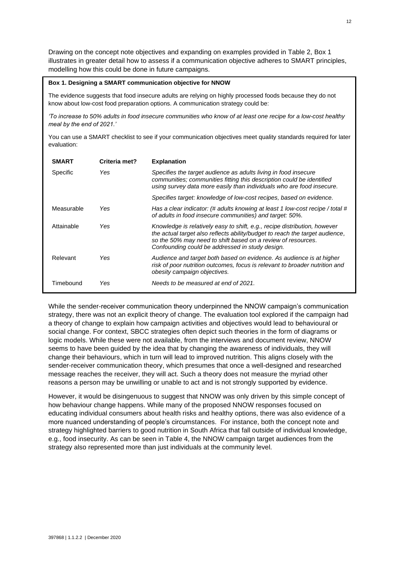Drawing on the concept note objectives and expanding on examples provided in Table 2, Box 1 illustrates in greater detail how to assess if a communication objective adheres to SMART principles, modelling how this could be done in future campaigns.

#### **Box 1. Designing a SMART communication objective for NNOW**

The evidence suggests that food insecure adults are relying on highly processed foods because they do not know about low-cost food preparation options. A communication strategy could be:

*'To increase to 50% adults in food insecure communities who know of at least one recipe for a low-cost healthy meal by the end of 2021.'*

You can use a SMART checklist to see if your communication objectives meet quality standards required for later evaluation:

| <b>SMART</b> | Criteria met? | <b>Explanation</b>                                                                                                                                                                                                                                                           |
|--------------|---------------|------------------------------------------------------------------------------------------------------------------------------------------------------------------------------------------------------------------------------------------------------------------------------|
| Specific     | Yes           | Specifies the target audience as adults living in food insecure<br>communities; communities fitting this description could be identified<br>using survey data more easily than individuals who are food insecure.                                                            |
|              |               | Specifies target: knowledge of low-cost recipes, based on evidence.                                                                                                                                                                                                          |
| Measurable   | Yes           | Has a clear indicator: (# adults knowing at least 1 low-cost recipe / total #<br>of adults in food insecure communities) and target: 50%.                                                                                                                                    |
| Attainable   | Yes           | Knowledge is relatively easy to shift, e.g., recipe distribution, however<br>the actual target also reflects ability/budget to reach the target audience,<br>so the 50% may need to shift based on a review of resources.<br>Confounding could be addressed in study design. |
| Relevant     | Yes           | Audience and target both based on evidence. As audience is at higher<br>risk of poor nutrition outcomes, focus is relevant to broader nutrition and<br>obesity campaign objectives.                                                                                          |
| Timebound    | Yes           | Needs to be measured at end of 2021.                                                                                                                                                                                                                                         |

While the sender-receiver communication theory underpinned the NNOW campaign's communication strategy, there was not an explicit theory of change. The evaluation tool explored if the campaign had a theory of change to explain how campaign activities and objectives would lead to behavioural or social change. For context, SBCC strategies often depict such theories in the form of diagrams or logic models. While these were not available, from the interviews and document review, NNOW seems to have been guided by the idea that by changing the awareness of individuals, they will change their behaviours, which in turn will lead to improved nutrition. This aligns closely with the sender-receiver communication theory, which presumes that once a well-designed and researched message reaches the receiver, they will act. Such a theory does not measure the myriad other reasons a person may be unwilling or unable to act and is not strongly supported by evidence.

However, it would be disingenuous to suggest that NNOW was only driven by this simple concept of how behaviour change happens. While many of the proposed NNOW responses focused on educating individual consumers about health risks and healthy options, there was also evidence of a more nuanced understanding of people's circumstances. For instance, both the concept note and strategy highlighted barriers to good nutrition in South Africa that fall outside of individual knowledge, e.g., food insecurity. As can be seen in Table 4, the NNOW campaign target audiences from the strategy also represented more than just individuals at the community level.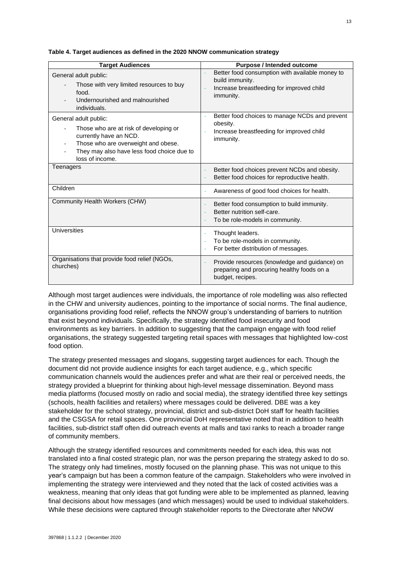| <b>Target Audiences</b>                                                                                                                                                                                                       | <b>Purpose / Intended outcome</b>                                                                                            |  |
|-------------------------------------------------------------------------------------------------------------------------------------------------------------------------------------------------------------------------------|------------------------------------------------------------------------------------------------------------------------------|--|
| General adult public:<br>Those with very limited resources to buy<br>food.<br>Undernourished and malnourished<br>individuals.                                                                                                 | Better food consumption with available money to<br>build immunity.<br>Increase breastfeeding for improved child<br>immunity. |  |
| General adult public:<br>Those who are at risk of developing or<br>currently have an NCD.<br>Those who are overweight and obese.<br>$\overline{\phantom{a}}$<br>They may also have less food choice due to<br>loss of income. | Better food choices to manage NCDs and prevent<br>ä,<br>obesity.<br>Increase breastfeeding for improved child<br>immunity.   |  |
| Teenagers                                                                                                                                                                                                                     | Better food choices prevent NCDs and obesity.<br>Better food choices for reproductive health.                                |  |
| Children                                                                                                                                                                                                                      | Awareness of good food choices for health.                                                                                   |  |
| Community Health Workers (CHW)                                                                                                                                                                                                | Better food consumption to build immunity.<br>Better nutrition self-care.<br>To be role-models in community.                 |  |
| <b>Universities</b>                                                                                                                                                                                                           | Thought leaders.<br>ä,<br>To be role-models in community.<br>For better distribution of messages.                            |  |
| Organisations that provide food relief (NGOs,<br>churches)                                                                                                                                                                    | Provide resources (knowledge and guidance) on<br>preparing and procuring healthy foods on a<br>budget, recipes.              |  |

**Table 4. Target audiences as defined in the 2020 NNOW communication strategy**

Although most target audiences were individuals, the importance of role modelling was also reflected in the CHW and university audiences, pointing to the importance of social norms. The final audience, organisations providing food relief, reflects the NNOW group's understanding of barriers to nutrition that exist beyond individuals. Specifically, the strategy identified food insecurity and food environments as key barriers. In addition to suggesting that the campaign engage with food relief organisations, the strategy suggested targeting retail spaces with messages that highlighted low-cost food option.

The strategy presented messages and slogans, suggesting target audiences for each. Though the document did not provide audience insights for each target audience, e.g., which specific communication channels would the audiences prefer and what are their real or perceived needs, the strategy provided a blueprint for thinking about high-level message dissemination. Beyond mass media platforms (focused mostly on radio and social media), the strategy identified three key settings (schools, health facilities and retailers) where messages could be delivered. DBE was a key stakeholder for the school strategy, provincial, district and sub-district DoH staff for health facilities and the CSGSA for retail spaces. One provincial DoH representative noted that in addition to health facilities, sub-district staff often did outreach events at malls and taxi ranks to reach a broader range of community members.

Although the strategy identified resources and commitments needed for each idea, this was not translated into a final costed strategic plan, nor was the person preparing the strategy asked to do so. The strategy only had timelines, mostly focused on the planning phase. This was not unique to this year's campaign but has been a common feature of the campaign. Stakeholders who were involved in implementing the strategy were interviewed and they noted that the lack of costed activities was a weakness, meaning that only ideas that got funding were able to be implemented as planned, leaving final decisions about how messages (and which messages) would be used to individual stakeholders. While these decisions were captured through stakeholder reports to the Directorate after NNOW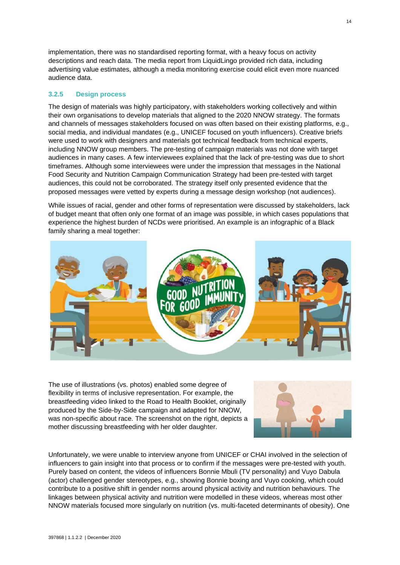implementation, there was no standardised reporting format, with a heavy focus on activity descriptions and reach data. The media report from LiquidLingo provided rich data, including advertising value estimates, although a media monitoring exercise could elicit even more nuanced audience data.

#### <span id="page-24-0"></span>**3.2.5 Design process**

The design of materials was highly participatory, with stakeholders working collectively and within their own organisations to develop materials that aligned to the 2020 NNOW strategy. The formats and channels of messages stakeholders focused on was often based on their existing platforms, e.g., social media, and individual mandates (e.g., UNICEF focused on youth influencers). Creative briefs were used to work with designers and materials got technical feedback from technical experts, including NNOW group members. The pre-testing of campaign materials was not done with target audiences in many cases. A few interviewees explained that the lack of pre-testing was due to short timeframes. Although some interviewees were under the impression that messages in the National Food Security and Nutrition Campaign Communication Strategy had been pre-tested with target audiences, this could not be corroborated. The strategy itself only presented evidence that the proposed messages were vetted by experts during a message design workshop (not audiences).

While issues of racial, gender and other forms of representation were discussed by stakeholders, lack of budget meant that often only one format of an image was possible, in which cases populations that experience the highest burden of NCDs were prioritised. An example is an infographic of a Black family sharing a meal together:



The use of illustrations (vs. photos) enabled some degree of flexibility in terms of inclusive representation. For example, the breastfeeding video linked to the Road to Health Booklet, originally produced by the Side-by-Side campaign and adapted for NNOW, was non-specific about race. The screenshot on the right, depicts a mother discussing breastfeeding with her older daughter.



Unfortunately, we were unable to interview anyone from UNICEF or CHAI involved in the selection of influencers to gain insight into that process or to confirm if the messages were pre-tested with youth. Purely based on content, the videos of influencers Bonnie Mbuli (TV personality) and Vuyo Dabula (actor) challenged gender stereotypes, e.g., showing Bonnie boxing and Vuyo cooking, which could contribute to a positive shift in gender norms around physical activity and nutrition behaviours. The linkages between physical activity and nutrition were modelled in these videos, whereas most other NNOW materials focused more singularly on nutrition (vs. multi-faceted determinants of obesity). One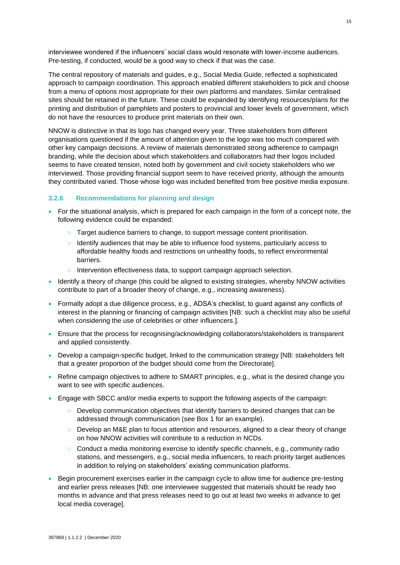interviewee wondered if the influencers' social class would resonate with lower-income audiences. Pre-testing, if conducted, would be a good way to check if that was the case.

The central repository of materials and guides, e.g., Social Media Guide, reflected a sophisticated approach to campaign coordination. This approach enabled different stakeholders to pick and choose from a menu of options most appropriate for their own platforms and mandates. Similar centralised sites should be retained in the future. These could be expanded by identifying resources/plans for the printing and distribution of pamphlets and posters to provincial and lower levels of government, which do not have the resources to produce print materials on their own.

NNOW is distinctive in that its logo has changed every year. Three stakeholders from different organisations questioned if the amount of attention given to the logo was too much compared with other key campaign decisions. A review of materials demonstrated strong adherence to campaign branding, while the decision about which stakeholders and collaborators had their logos included seems to have created tension, noted both by government and civil society stakeholders who we interviewed. Those providing financial support seem to have received priority, although the amounts they contributed varied. Those whose logo was included benefited from free positive media exposure.

#### <span id="page-25-0"></span>**3.2.6 Recommendations for planning and design**

- For the situational analysis, which is prepared for each campaign in the form of a concept note, the following evidence could be expanded:
	- Target audience barriers to change, to support message content prioritisation.
	- Identify audiences that may be able to influence food systems, particularly access to affordable healthy foods and restrictions on unhealthy foods, to reflect environmental barriers.
	- o Intervention effectiveness data, to support campaign approach selection.
- Identify a theory of change (this could be aligned to existing strategies, whereby NNOW activities contribute to part of a broader theory of change, e.g., increasing awareness).
- Formally adopt a due diligence process, e.g., ADSA's checklist, to guard against any conflicts of interest in the planning or financing of campaign activities [NB: such a checklist may also be useful when considering the use of celebrities or other influencers.].
- Ensure that the process for recognising/acknowledging collaborators/stakeholders is transparent and applied consistently.
- Develop a campaign-specific budget, linked to the communication strategy [NB: stakeholders felt that a greater proportion of the budget should come from the Directorate].
- Refine campaign objectives to adhere to SMART principles, e.g., what is the desired change you want to see with specific audiences.
- Engage with SBCC and/or media experts to support the following aspects of the campaign:
	- Develop communication objectives that identify barriers to desired changes that can be addressed through communication (see Box 1 for an example).
	- Develop an M&E plan to focus attention and resources, aligned to a clear theory of change on how NNOW activities will contribute to a reduction in NCDs.
	- Conduct a media monitoring exercise to identify specific channels, e.g., community radio stations, and messengers, e.g., social media influencers, to reach priority target audiences in addition to relying on stakeholders' existing communication platforms.
- Begin procurement exercises earlier in the campaign cycle to allow time for audience pre-testing and earlier press releases [NB: one interviewee suggested that materials should be ready two months in advance and that press releases need to go out at least two weeks in advance to get local media coverage].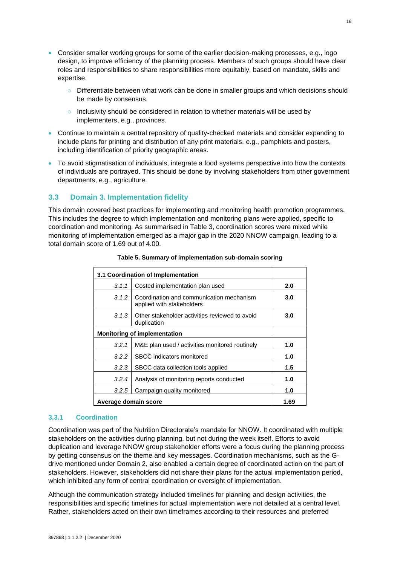- Consider smaller working groups for some of the earlier decision-making processes, e.g., logo design, to improve efficiency of the planning process. Members of such groups should have clear roles and responsibilities to share responsibilities more equitably, based on mandate, skills and expertise.
	- Differentiate between what work can be done in smaller groups and which decisions should be made by consensus.
	- Inclusivity should be considered in relation to whether materials will be used by implementers, e.g., provinces.
- Continue to maintain a central repository of quality-checked materials and consider expanding to include plans for printing and distribution of any print materials, e.g., pamphlets and posters, including identification of priority geographic areas.
- To avoid stigmatisation of individuals, integrate a food systems perspective into how the contexts of individuals are portrayed. This should be done by involving stakeholders from other government departments, e.g., agriculture.

### <span id="page-26-0"></span>**3.3 Domain 3. Implementation fidelity**

This domain covered best practices for implementing and monitoring health promotion programmes. This includes the degree to which implementation and monitoring plans were applied, specific to coordination and monitoring. As summarised in Table 3, coordination scores were mixed while monitoring of implementation emerged as a major gap in the 2020 NNOW campaign, leading to a total domain score of 1.69 out of 4.00.

| 3.1 Coordination of Implementation          |                                                                       |     |  |  |
|---------------------------------------------|-----------------------------------------------------------------------|-----|--|--|
| 3.1.1                                       | Costed implementation plan used                                       |     |  |  |
| 3.1.2                                       | Coordination and communication mechanism<br>applied with stakeholders | 3.0 |  |  |
| 3.1.3                                       | Other stakeholder activities reviewed to avoid<br>duplication         | 3.0 |  |  |
| <b>Monitoring of implementation</b>         |                                                                       |     |  |  |
| 3.2.1                                       | M&E plan used / activities monitored routinely                        | 1.0 |  |  |
| 3.2.2                                       | SBCC indicators monitored                                             | 1.0 |  |  |
| 3.2.3<br>SBCC data collection tools applied |                                                                       | 1.5 |  |  |
| 3.2.4                                       | Analysis of monitoring reports conducted                              | 1.0 |  |  |
| 3.2.5                                       | Campaign quality monitored                                            | 1.0 |  |  |
| Average domain score                        |                                                                       |     |  |  |

**Table 5. Summary of implementation sub-domain scoring**

#### <span id="page-26-1"></span>**3.3.1 Coordination**

Coordination was part of the Nutrition Directorate's mandate for NNOW. It coordinated with multiple stakeholders on the activities during planning, but not during the week itself. Efforts to avoid duplication and leverage NNOW group stakeholder efforts were a focus during the planning process by getting consensus on the theme and key messages. Coordination mechanisms, such as the Gdrive mentioned under Domain 2, also enabled a certain degree of coordinated action on the part of stakeholders. However, stakeholders did not share their plans for the actual implementation period, which inhibited any form of central coordination or oversight of implementation.

Although the communication strategy included timelines for planning and design activities, the responsibilities and specific timelines for actual implementation were not detailed at a central level. Rather, stakeholders acted on their own timeframes according to their resources and preferred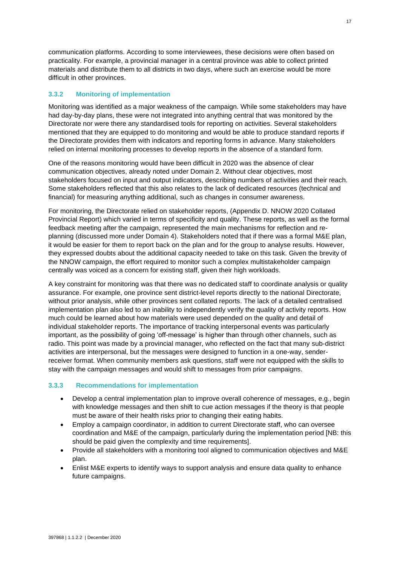communication platforms. According to some interviewees, these decisions were often based on practicality. For example, a provincial manager in a central province was able to collect printed materials and distribute them to all districts in two days, where such an exercise would be more difficult in other provinces.

#### <span id="page-27-0"></span>**3.3.2 Monitoring of implementation**

Monitoring was identified as a major weakness of the campaign. While some stakeholders may have had day-by-day plans, these were not integrated into anything central that was monitored by the Directorate nor were there any standardised tools for reporting on activities. Several stakeholders mentioned that they are equipped to do monitoring and would be able to produce standard reports if the Directorate provides them with indicators and reporting forms in advance. Many stakeholders relied on internal monitoring processes to develop reports in the absence of a standard form.

One of the reasons monitoring would have been difficult in 2020 was the absence of clear communication objectives, already noted under Domain 2. Without clear objectives, most stakeholders focused on input and output indicators, describing numbers of activities and their reach. Some stakeholders reflected that this also relates to the lack of dedicated resources (technical and financial) for measuring anything additional, such as changes in consumer awareness.

For monitoring, the Directorate relied on stakeholder reports, (Appendix D. NNOW 2020 Collated Provincial Report) which varied in terms of specificity and quality. These reports, as well as the formal feedback meeting after the campaign, represented the main mechanisms for reflection and replanning (discussed more under Domain 4). Stakeholders noted that if there was a formal M&E plan, it would be easier for them to report back on the plan and for the group to analyse results. However, they expressed doubts about the additional capacity needed to take on this task. Given the brevity of the NNOW campaign, the effort required to monitor such a complex multistakeholder campaign centrally was voiced as a concern for existing staff, given their high workloads.

A key constraint for monitoring was that there was no dedicated staff to coordinate analysis or quality assurance. For example, one province sent district-level reports directly to the national Directorate, without prior analysis, while other provinces sent collated reports. The lack of a detailed centralised implementation plan also led to an inability to independently verify the quality of activity reports. How much could be learned about how materials were used depended on the quality and detail of individual stakeholder reports. The importance of tracking interpersonal events was particularly important, as the possibility of going 'off-message' is higher than through other channels, such as radio. This point was made by a provincial manager, who reflected on the fact that many sub-district activities are interpersonal, but the messages were designed to function in a one-way, senderreceiver format. When community members ask questions, staff were not equipped with the skills to stay with the campaign messages and would shift to messages from prior campaigns.

#### <span id="page-27-1"></span>**3.3.3 Recommendations for implementation**

- Develop a central implementation plan to improve overall coherence of messages, e.g., begin with knowledge messages and then shift to cue action messages if the theory is that people must be aware of their health risks prior to changing their eating habits.
- Employ a campaign coordinator, in addition to current Directorate staff, who can oversee coordination and M&E of the campaign, particularly during the implementation period [NB: this should be paid given the complexity and time requirements].
- Provide all stakeholders with a monitoring tool aligned to communication objectives and M&E plan.
- Enlist M&E experts to identify ways to support analysis and ensure data quality to enhance future campaigns.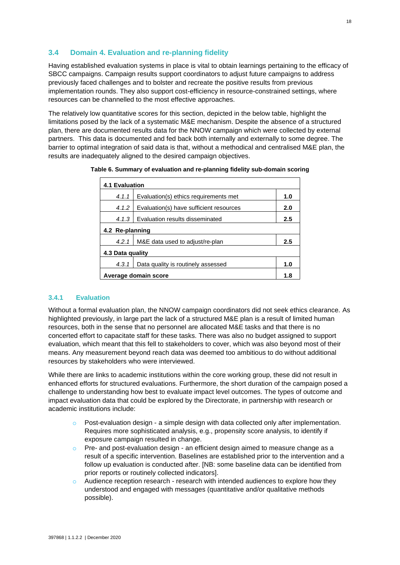## <span id="page-28-0"></span>**3.4 Domain 4. Evaluation and re-planning fidelity**

Having established evaluation systems in place is vital to obtain learnings pertaining to the efficacy of SBCC campaigns. Campaign results support coordinators to adjust future campaigns to address previously faced challenges and to bolster and recreate the positive results from previous implementation rounds. They also support cost-efficiency in resource-constrained settings, where resources can be channelled to the most effective approaches.

The relatively low quantitative scores for this section, depicted in the below table, highlight the limitations posed by the lack of a systematic M&E mechanism. Despite the absence of a structured plan, there are documented results data for the NNOW campaign which were collected by external partners. This data is documented and fed back both internally and externally to some degree. The barrier to optimal integration of said data is that, without a methodical and centralised M&E plan, the results are inadequately aligned to the desired campaign objectives.

| Table 6. Summary of evaluation and re-planning fidelity sub-domain scoring |
|----------------------------------------------------------------------------|
|                                                                            |

| <b>4.1 Evaluation</b>                                   |  |  |  |  |
|---------------------------------------------------------|--|--|--|--|
| 4.1.1<br>Evaluation(s) ethics requirements met<br>1.0   |  |  |  |  |
| Evaluation(s) have sufficient resources<br>4.1.2<br>2.0 |  |  |  |  |
| Evaluation results disseminated<br>2.5<br>4.1.3         |  |  |  |  |
| 4.2 Re-planning                                         |  |  |  |  |
| M&E data used to adjust/re-plan<br>2.5<br>4.2.1         |  |  |  |  |
| 4.3 Data quality                                        |  |  |  |  |
| Data quality is routinely assessed<br>1.0<br>4.3.1      |  |  |  |  |
| Average domain score<br>1.8                             |  |  |  |  |

#### <span id="page-28-1"></span>**3.4.1 Evaluation**

Without a formal evaluation plan, the NNOW campaign coordinators did not seek ethics clearance. As highlighted previously, in large part the lack of a structured M&E plan is a result of limited human resources, both in the sense that no personnel are allocated M&E tasks and that there is no concerted effort to capacitate staff for these tasks. There was also no budget assigned to support evaluation, which meant that this fell to stakeholders to cover, which was also beyond most of their means. Any measurement beyond reach data was deemed too ambitious to do without additional resources by stakeholders who were interviewed.

While there are links to academic institutions within the core working group, these did not result in enhanced efforts for structured evaluations. Furthermore, the short duration of the campaign posed a challenge to understanding how best to evaluate impact level outcomes. The types of outcome and impact evaluation data that could be explored by the Directorate, in partnership with research or academic institutions include:

- $\circ$  Post-evaluation design a simple design with data collected only after implementation. Requires more sophisticated analysis, e.g., propensity score analysis, to identify if exposure campaign resulted in change.
- $\circ$  Pre- and post-evaluation design an efficient design aimed to measure change as a result of a specific intervention. Baselines are established prior to the intervention and a follow up evaluation is conducted after. [NB: some baseline data can be identified from prior reports or routinely collected indicators].
- $\circ$  Audience reception research research with intended audiences to explore how they understood and engaged with messages (quantitative and/or qualitative methods possible).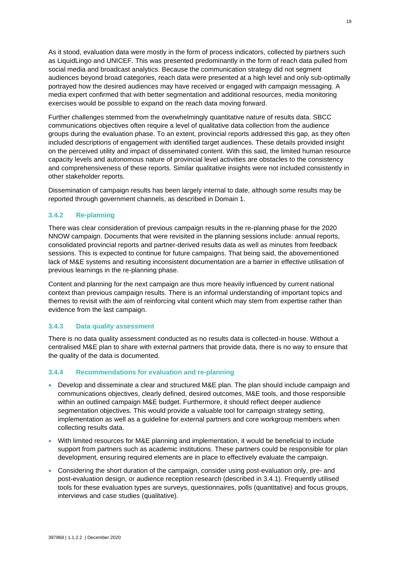As it stood, evaluation data were mostly in the form of process indicators, collected by partners such as LiquidLingo and UNICEF. This was presented predominantly in the form of reach data pulled from social media and broadcast analytics. Because the communication strategy did not segment audiences beyond broad categories, reach data were presented at a high level and only sub-optimally portrayed how the desired audiences may have received or engaged with campaign messaging. A media expert confirmed that with better segmentation and additional resources, media monitoring exercises would be possible to expand on the reach data moving forward.

Further challenges stemmed from the overwhelmingly quantitative nature of results data. SBCC communications objectives often require a level of qualitative data collection from the audience groups during the evaluation phase. To an extent, provincial reports addressed this gap, as they often included descriptions of engagement with identified target audiences. These details provided insight on the perceived utility and impact of disseminated content. With this said, the limited human resource capacity levels and autonomous nature of provincial level activities are obstacles to the consistency and comprehensiveness of these reports. Similar qualitative insights were not included consistently in other stakeholder reports.

Dissemination of campaign results has been largely internal to date, although some results may be reported through government channels, as described in Domain 1.

#### <span id="page-29-0"></span>**3.4.2 Re-planning**

There was clear consideration of previous campaign results in the re-planning phase for the 2020 NNOW campaign. Documents that were revisited in the planning sessions include: annual reports, consolidated provincial reports and partner-derived results data as well as minutes from feedback sessions. This is expected to continue for future campaigns. That being said, the abovementioned lack of M&E systems and resulting inconsistent documentation are a barrier in effective utilisation of previous learnings in the re-planning phase.

Content and planning for the next campaign are thus more heavily influenced by current national context than previous campaign results. There is an informal understanding of important topics and themes to revisit with the aim of reinforcing vital content which may stem from expertise rather than evidence from the last campaign.

#### <span id="page-29-1"></span>**3.4.3 Data quality assessment**

There is no data quality assessment conducted as no results data is collected-in house. Without a centralised M&E plan to share with external partners that provide data, there is no way to ensure that the quality of the data is documented.

#### <span id="page-29-2"></span>**3.4.4 Recommendations for evaluation and re-planning**

- Develop and disseminate a clear and structured M&E plan. The plan should include campaign and communications objectives, clearly defined, desired outcomes, M&E tools, and those responsible within an outlined campaign M&E budget. Furthermore, it should reflect deeper audience segmentation objectives. This would provide a valuable tool for campaign strategy setting, implementation as well as a guideline for external partners and core workgroup members when collecting results data.
- With limited resources for M&E planning and implementation, it would be beneficial to include support from partners such as academic institutions. These partners could be responsible for plan development, ensuring required elements are in place to effectively evaluate the campaign.
- Considering the short duration of the campaign, consider using post-evaluation only, pre- and post-evaluation design, or audience reception research (described in 3.4.1). Frequently utilised tools for these evaluation types are surveys, questionnaires, polls (quantitative) and focus groups, interviews and case studies (qualitative).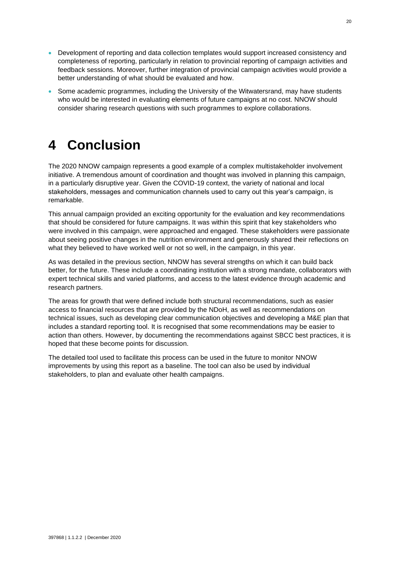- Development of reporting and data collection templates would support increased consistency and completeness of reporting, particularly in relation to provincial reporting of campaign activities and feedback sessions. Moreover, further integration of provincial campaign activities would provide a better understanding of what should be evaluated and how.
- Some academic programmes, including the University of the Witwatersrand, may have students who would be interested in evaluating elements of future campaigns at no cost. NNOW should consider sharing research questions with such programmes to explore collaborations.

## <span id="page-30-0"></span>**4 Conclusion**

The 2020 NNOW campaign represents a good example of a complex multistakeholder involvement initiative. A tremendous amount of coordination and thought was involved in planning this campaign, in a particularly disruptive year. Given the COVID-19 context, the variety of national and local stakeholders, messages and communication channels used to carry out this year's campaign, is remarkable.

This annual campaign provided an exciting opportunity for the evaluation and key recommendations that should be considered for future campaigns. It was within this spirit that key stakeholders who were involved in this campaign, were approached and engaged. These stakeholders were passionate about seeing positive changes in the nutrition environment and generously shared their reflections on what they believed to have worked well or not so well, in the campaign, in this year.

As was detailed in the previous section, NNOW has several strengths on which it can build back better, for the future. These include a coordinating institution with a strong mandate, collaborators with expert technical skills and varied platforms, and access to the latest evidence through academic and research partners.

The areas for growth that were defined include both structural recommendations, such as easier access to financial resources that are provided by the NDoH, as well as recommendations on technical issues, such as developing clear communication objectives and developing a M&E plan that includes a standard reporting tool. It is recognised that some recommendations may be easier to action than others. However, by documenting the recommendations against SBCC best practices, it is hoped that these become points for discussion.

The detailed tool used to facilitate this process can be used in the future to monitor NNOW improvements by using this report as a baseline. The tool can also be used by individual stakeholders, to plan and evaluate other health campaigns.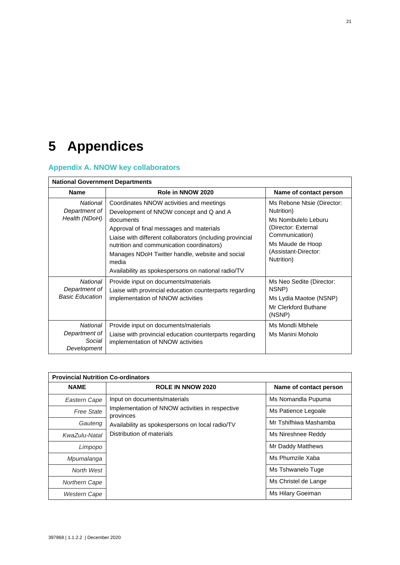# <span id="page-31-0"></span>**5 Appendices**

## <span id="page-31-1"></span>**Appendix A. NNOW key collaborators**

| <b>National Government Departments</b>              |                                                                                                                                                                                                                                                                                                                                                                          |                                                                                                                                                                    |  |
|-----------------------------------------------------|--------------------------------------------------------------------------------------------------------------------------------------------------------------------------------------------------------------------------------------------------------------------------------------------------------------------------------------------------------------------------|--------------------------------------------------------------------------------------------------------------------------------------------------------------------|--|
| <b>Name</b>                                         | Role in NNOW 2020                                                                                                                                                                                                                                                                                                                                                        | Name of contact person                                                                                                                                             |  |
| National<br>Department of<br>Health (NDoH)          | Coordinates NNOW activities and meetings<br>Development of NNOW concept and Q and A<br>documents<br>Approval of final messages and materials<br>Liaise with different collaborators (including provincial<br>nutrition and communication coordinators)<br>Manages NDoH Twitter handle, website and social<br>media<br>Availability as spokespersons on national radio/TV | Ms Rebone Ntsie (Director:<br>Nutrition)<br>Ms Nombulelo Leburu<br>(Director: External<br>Communication)<br>Ms Maude de Hoop<br>(Assistant-Director:<br>Nutrition) |  |
| National<br>Department of<br><b>Basic Education</b> | Provide input on documents/materials<br>Liaise with provincial education counterparts regarding<br>implementation of NNOW activities                                                                                                                                                                                                                                     | Ms Neo Sedite (Director:<br>NSNP)<br>Ms Lydia Maotoe (NSNP)<br>Mr Clerkford Buthane<br>(NSNP)                                                                      |  |
| National<br>Department of<br>Social<br>Development  | Provide input on documents/materials<br>Liaise with provincial education counterparts regarding<br>implementation of NNOW activities                                                                                                                                                                                                                                     | Ms Mondli Mbhele<br>Ms Manini Moholo                                                                                                                               |  |

| <b>Provincial Nutrition Co-ordinators</b> |                                                              |                        |  |
|-------------------------------------------|--------------------------------------------------------------|------------------------|--|
| <b>NAME</b>                               | <b>ROLE IN NNOW 2020</b>                                     | Name of contact person |  |
| Eastern Cape                              | Input on documents/materials                                 | Ms Nomandla Pupuma     |  |
| <b>Free State</b>                         | Implementation of NNOW activities in respective<br>provinces | Ms Patience Legoale    |  |
| Gauteng                                   | Availability as spokespersons on local radio/TV              | Mr Tshifhiwa Mashamba  |  |
| KwaZulu-Natal                             | Distribution of materials                                    | Ms Nireshnee Reddy     |  |
| Limpopo                                   |                                                              | Mr Daddy Matthews      |  |
| Mpumalanga                                |                                                              | Ms Phumzile Xaba       |  |
| North West                                |                                                              | Ms Tshwanelo Tuge      |  |
| <b>Northern Cape</b>                      |                                                              | Ms Christel de Lange   |  |
| <b>Western Cape</b>                       |                                                              | Ms Hilary Goeiman      |  |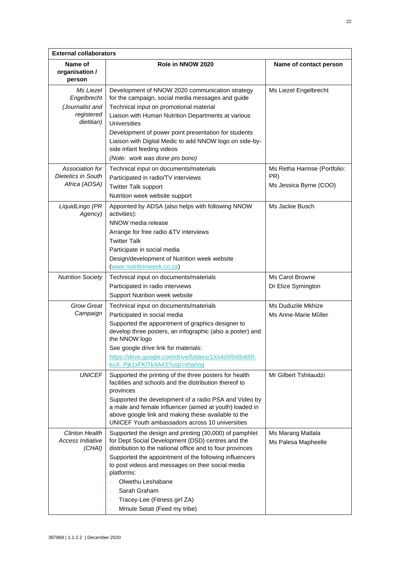| <b>External collaborators</b>                                           |                                                                                                                                                                                                                                                                                                                                                                                                            |                                                              |  |  |
|-------------------------------------------------------------------------|------------------------------------------------------------------------------------------------------------------------------------------------------------------------------------------------------------------------------------------------------------------------------------------------------------------------------------------------------------------------------------------------------------|--------------------------------------------------------------|--|--|
| Name of<br>organisation /<br>person                                     | Role in NNOW 2020                                                                                                                                                                                                                                                                                                                                                                                          | Name of contact person                                       |  |  |
| Ms Liezel<br>Engelbrecht<br>(Journalist and<br>registered<br>dietitian) | Development of NNOW 2020 communication strategy<br>for the campaign, social media messages and guide<br>Technical input on promotional material<br>Liaison with Human Nutrition Departments at various<br>Universities<br>Development of power point presentation for students<br>Liaison with Digital Medic to add NNOW logo on side-by-<br>side infant feeding videos<br>(Note: work was done pro bono)  | Ms Liezel Engelbrecht                                        |  |  |
| Association for<br>Dietetics in South<br>Africa (ADSA)                  | Technical input on documents/materials<br>Participated in radio/TV interviews<br><b>Twitter Talk support</b><br>Nutrition week website support                                                                                                                                                                                                                                                             | Ms Retha Harmse (Portfolio:<br>PR)<br>Ms Jessica Byrne (COO) |  |  |
| LiquidLingo (PR<br>Agency)                                              | Appointed by ADSA (also helps with following NNOW<br>activities):<br>NNOW media release<br>Arrange for free radio &TV interviews<br><b>Twitter Talk</b><br>Participate in social media<br>Design/development of Nutrition week website<br>(www.nutritionweek.co.za)                                                                                                                                        | Ms Jackie Busch                                              |  |  |
| <b>Nutrition Society</b>                                                | Technical input on documents/materials<br>Participated in radio interviews<br>Support Nutrition week website                                                                                                                                                                                                                                                                                               | Ms Carol Browne<br>Dr Elize Symington                        |  |  |
| <b>Grow Great</b><br>Campaign                                           | Technical input on documents/materials<br>Participated in social media<br>Supported the appointment of graphics designer to<br>develop three posters, an infographic (also a poster) and<br>the NNOW logo<br>See google drive link for materials:<br>https://drive.google.com/drive/folders/1Xx4iXRn0ln6Rf-<br>kuX_Pjk1xFKlTk4A43?usp=sharing                                                              | Ms Duduzile Mkhize<br>Ms Anne-Marie Müller                   |  |  |
| <b>UNICEF</b>                                                           | Supported the printing of the three posters for health<br>facilities and schools and the distribution thereof to<br>provinces<br>Supported the development of a radio PSA and Video by<br>a male and female influencer (aimed at youth) loaded in<br>above google link and making these available to the<br>UNICEF Youth ambassadors across 10 universities                                                | Mr Gilbert Tshitaudzi                                        |  |  |
| <b>Clinton Health</b><br>Access Initiative<br>(CHAI)                    | Supported the design and printing (30,000) of pamphlet<br>for Dept Social Development (DSD) centres and the<br>distribution to the national office and to four provinces<br>Supported the appointment of the following influencers<br>to post videos and messages on their social media<br>platforms:<br>Olwethu Leshabane<br>Sarah Graham<br>Tracey-Lee (Fitness girl ZA)<br>Mmule Setati (Feed my tribe) | Ms Marang Matlala<br>Ms Palesa Mapheelle                     |  |  |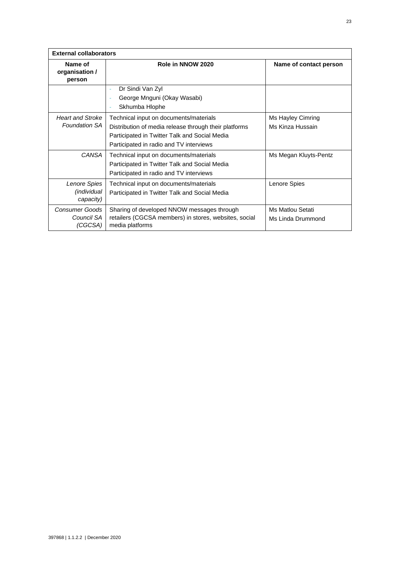| <b>External collaborators</b>                            |                                                                                                                                                                                             |                                       |  |  |
|----------------------------------------------------------|---------------------------------------------------------------------------------------------------------------------------------------------------------------------------------------------|---------------------------------------|--|--|
| Name of<br>Role in NNOW 2020<br>organisation /<br>person |                                                                                                                                                                                             | Name of contact person                |  |  |
|                                                          | Dr Sindi Van Zyl<br>٠<br>George Mnguni (Okay Wasabi)<br>٠<br>Skhumba Hlophe                                                                                                                 |                                       |  |  |
| <b>Heart and Stroke</b><br><b>Foundation SA</b>          | Technical input on documents/materials<br>Distribution of media release through their platforms<br>Participated in Twitter Talk and Social Media<br>Participated in radio and TV interviews | Ms Hayley Cimring<br>Ms Kinza Hussain |  |  |
| <b>CANSA</b>                                             | Technical input on documents/materials<br>Participated in Twitter Talk and Social Media<br>Participated in radio and TV interviews                                                          | Ms Megan Kluyts-Pentz                 |  |  |
| Lenore Spies<br>(individual<br>capacity)                 | Technical input on documents/materials<br>Participated in Twitter Talk and Social Media                                                                                                     | Lenore Spies                          |  |  |
| <b>Consumer Goods</b><br>Council SA<br>(CGCSA)           | Sharing of developed NNOW messages through<br>retailers (CGCSA members) in stores, websites, social<br>media platforms                                                                      | Ms Matlou Setati<br>Ms Linda Drummond |  |  |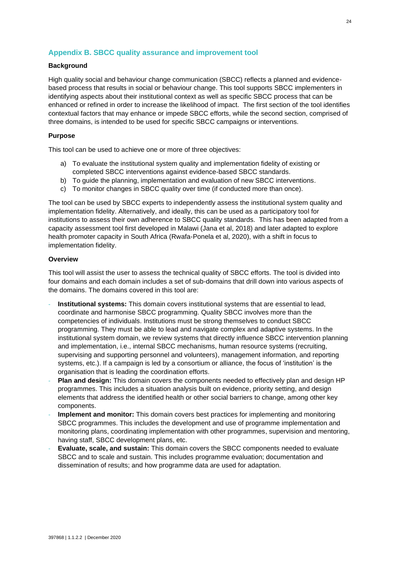## <span id="page-34-0"></span>**Appendix B. SBCC quality assurance and improvement tool**

#### **Background**

High quality social and behaviour change communication (SBCC) reflects a planned and evidencebased process that results in social or behaviour change. This tool supports SBCC implementers in identifying aspects about their institutional context as well as specific SBCC process that can be enhanced or refined in order to increase the likelihood of impact. The first section of the tool identifies contextual factors that may enhance or impede SBCC efforts, while the second section, comprised of three domains, is intended to be used for specific SBCC campaigns or interventions.

#### **Purpose**

This tool can be used to achieve one or more of three objectives:

- a) To evaluate the institutional system quality and implementation fidelity of existing or completed SBCC interventions against evidence-based SBCC standards.
- b) To guide the planning, implementation and evaluation of new SBCC interventions.
- c) To monitor changes in SBCC quality over time (if conducted more than once).

The tool can be used by SBCC experts to independently assess the institutional system quality and implementation fidelity. Alternatively, and ideally, this can be used as a participatory tool for institutions to assess their own adherence to SBCC quality standards. This has been adapted from a capacity assessment tool first developed in Malawi (Jana et al, 2018) and later adapted to explore health promoter capacity in South Africa (Rwafa-Ponela et al, 2020), with a shift in focus to implementation fidelity.

#### **Overview**

This tool will assist the user to assess the technical quality of SBCC efforts. The tool is divided into four domains and each domain includes a set of sub-domains that drill down into various aspects of the domains. The domains covered in this tool are:

- **Institutional systems:** This domain covers institutional systems that are essential to lead, coordinate and harmonise SBCC programming. Quality SBCC involves more than the competencies of individuals. Institutions must be strong themselves to conduct SBCC programming. They must be able to lead and navigate complex and adaptive systems. In the institutional system domain, we review systems that directly influence SBCC intervention planning and implementation, i.e., internal SBCC mechanisms, human resource systems (recruiting, supervising and supporting personnel and volunteers), management information, and reporting systems, etc.). If a campaign is led by a consortium or alliance, the focus of 'institution' is the organisation that is leading the coordination efforts.
- **Plan and design:** This domain covers the components needed to effectively plan and design HP programmes. This includes a situation analysis built on evidence, priority setting, and design elements that address the identified health or other social barriers to change, among other key components.
- **Implement and monitor:** This domain covers best practices for implementing and monitoring SBCC programmes. This includes the development and use of programme implementation and monitoring plans, coordinating implementation with other programmes, supervision and mentoring, having staff, SBCC development plans, etc.
- **Evaluate, scale, and sustain:** This domain covers the SBCC components needed to evaluate SBCC and to scale and sustain. This includes programme evaluation; documentation and dissemination of results; and how programme data are used for adaptation.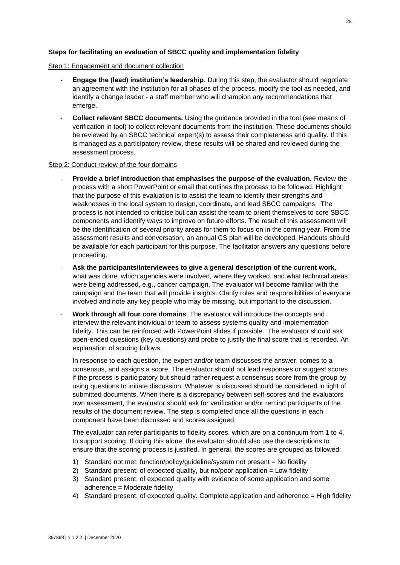#### **Steps for facilitating an evaluation of SBCC quality and implementation fidelity**

#### Step 1: Engagement and document collection

- **Engage the (lead) institution's leadership**. During this step, the evaluator should negotiate an agreement with the institution for all phases of the process, modify the tool as needed, and identify a change leader - a staff member who will champion any recommendations that emerge.
- **Collect relevant SBCC documents.** Using the guidance provided in the tool (see means of verification in tool) to collect relevant documents from the institution. These documents should be reviewed by an SBCC technical expert(s) to assess their completeness and quality. If this is managed as a participatory review, these results will be shared and reviewed during the assessment process.

#### Step 2: Conduct review of the four domains

- **Provide a brief introduction that emphasises the purpose of the evaluation.** Review the process with a short PowerPoint or email that outlines the process to be followed. Highlight that the purpose of this evaluation is to assist the team to identify their strengths and weaknesses in the local system to design, coordinate, and lead SBCC campaigns. The process is not intended to criticise but can assist the team to orient themselves to core SBCC components and identify ways to improve on future efforts. The result of this assessment will be the identification of several priority areas for them to focus on in the coming year. From the assessment results and conversation, an annual CS plan will be developed. Handouts should be available for each participant for this purpose. The facilitator answers any questions before proceeding.
- **Ask the participants/interviewees to give a general description of the current work**, what was done, which agencies were involved, where they worked, and what technical areas were being addressed, e.g., cancer campaign. The evaluator will become familiar with the campaign and the team that will provide insights. Clarify roles and responsibilities of everyone involved and note any key people who may be missing, but important to the discussion.
- **Work through all four core domains**. The evaluator will introduce the concepts and interview the relevant individual or team to assess systems quality and implementation fidelity. This can be reinforced with PowerPoint slides if possible. The evaluator should ask open-ended questions (key questions) and probe to justify the final score that is recorded. An explanation of scoring follows.

In response to each question, the expert and/or team discusses the answer, comes to a consensus, and assigns a score. The evaluator should not lead responses or suggest scores if the process is participatory but should rather request a consensus score from the group by using questions to initiate discussion. Whatever is discussed should be considered in light of submitted documents. When there is a discrepancy between self-scores and the evaluators own assessment, the evaluator should ask for verification and/or remind participants of the results of the document review. The step is completed once all the questions in each component have been discussed and scores assigned.

The evaluator can refer participants to fidelity scores, which are on a continuum from 1 to 4, to support scoring. If doing this alone, the evaluator should also use the descriptions to ensure that the scoring process is justified. In general, the scores are grouped as followed:

- 1) Standard not met: function/policy/guideline/system not present = No fidelity
- 2) Standard present: of expected quality, but no/poor application = Low fidelity
- 3) Standard present: of expected quality with evidence of some application and some adherence = Moderate fidelity
- 4) Standard present: of expected quality. Complete application and adherence = High fidelity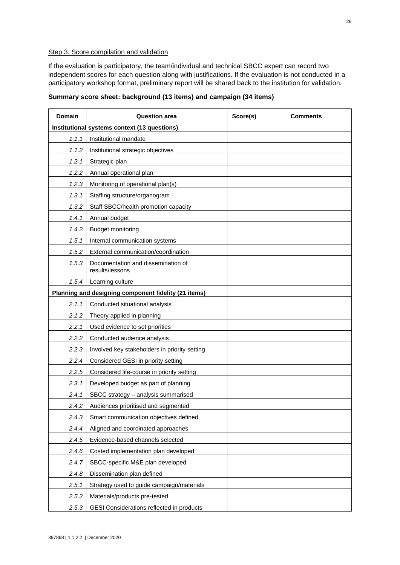#### Step 3. Score compilation and validation

If the evaluation is participatory, the team/individual and technical SBCC expert can record two independent scores for each question along with justifications. If the evaluation is not conducted in a participatory workshop format, preliminary report will be shared back to the institution for validation.

| Domain                                       | <b>Question area</b>                                  | Score(s) | <b>Comments</b> |
|----------------------------------------------|-------------------------------------------------------|----------|-----------------|
| Institutional systems context (13 questions) |                                                       |          |                 |
| 1.1.1                                        | Institutional mandate                                 |          |                 |
| 1.1.2                                        | Institutional strategic objectives                    |          |                 |
| 1.2.1                                        | Strategic plan                                        |          |                 |
| 1.2.2                                        | Annual operational plan                               |          |                 |
| 1.2.3                                        | Monitoring of operational plan(s)                     |          |                 |
| 1.3.1                                        | Staffing structure/organogram                         |          |                 |
| 1.3.2                                        | Staff SBCC/health promotion capacity                  |          |                 |
| 1.4.1                                        | Annual budget                                         |          |                 |
| 1.4.2                                        | <b>Budget monitoring</b>                              |          |                 |
| 1.5.1                                        | Internal communication systems                        |          |                 |
| 1.5.2                                        | External communication/coordination                   |          |                 |
| 1.5.3                                        | Documentation and dissemination of<br>results/lessons |          |                 |
| 1.5.4                                        | Learning culture                                      |          |                 |
|                                              | Planning and designing component fidelity (21 items)  |          |                 |
| 2.1.1                                        | Conducted situational analysis                        |          |                 |
| 2.1.2                                        | Theory applied in planning                            |          |                 |
| 2.2.1                                        | Used evidence to set priorities                       |          |                 |
| 2.2.2                                        | Conducted audience analysis                           |          |                 |
| 2.2.3                                        | Involved key stakeholders in priority setting         |          |                 |
| 2.2.4                                        | Considered GESI in priority setting                   |          |                 |
| 2.2.5                                        | Considered life-course in priority setting            |          |                 |
| 2.3.1                                        | Developed budget as part of planning                  |          |                 |
| 2.4.1                                        | SBCC strategy - analysis summarised                   |          |                 |
| 2.4.2                                        | Audiences prioritised and segmented                   |          |                 |
| 2.4.3                                        | Smart communication objectives defined                |          |                 |
| 2.4.4                                        | Aligned and coordinated approaches                    |          |                 |
| 2.4.5                                        | Evidence-based channels selected                      |          |                 |
| 2.4.6                                        | Costed implementation plan developed                  |          |                 |
| 2.4.7                                        | SBCC-specific M&E plan developed                      |          |                 |
| 2.4.8                                        | Dissemination plan defined                            |          |                 |
| 2.5.1                                        | Strategy used to guide campaign/materials             |          |                 |
| 2.5.2                                        | Materials/products pre-tested                         |          |                 |
| 2.5.3                                        | GESI Considerations reflected in products             |          |                 |

## **Summary score sheet: background (13 items) and campaign (34 items)**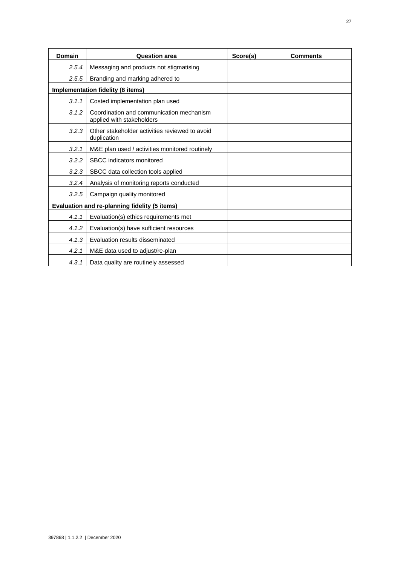| Domain | <b>Question area</b>                                                  |  | <b>Comments</b> |
|--------|-----------------------------------------------------------------------|--|-----------------|
| 2.5.4  | Messaging and products not stigmatising                               |  |                 |
| 2.5.5  | Branding and marking adhered to                                       |  |                 |
|        | Implementation fidelity (8 items)                                     |  |                 |
| 3.1.1  | Costed implementation plan used                                       |  |                 |
| 3.1.2  | Coordination and communication mechanism<br>applied with stakeholders |  |                 |
| 3.2.3  | Other stakeholder activities reviewed to avoid<br>duplication         |  |                 |
| 3.2.1  | M&E plan used / activities monitored routinely                        |  |                 |
| 3.2.2  | SBCC indicators monitored                                             |  |                 |
| 3.2.3  | SBCC data collection tools applied                                    |  |                 |
| 3.2.4  | Analysis of monitoring reports conducted                              |  |                 |
| 3.2.5  | Campaign quality monitored                                            |  |                 |
|        | <b>Evaluation and re-planning fidelity (5 items)</b>                  |  |                 |
| 4.1.1  | Evaluation(s) ethics requirements met                                 |  |                 |
| 4.1.2  | Evaluation(s) have sufficient resources                               |  |                 |
| 4.1.3  | Evaluation results disseminated                                       |  |                 |
| 4.2.1  | M&E data used to adjust/re-plan                                       |  |                 |
| 4.3.1  | Data quality are routinely assessed                                   |  |                 |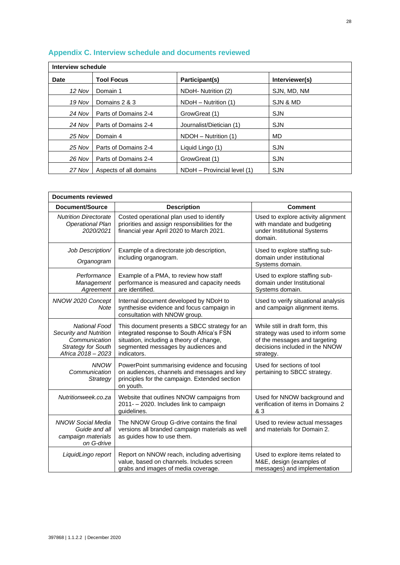| Interview schedule |                        |                             |                |
|--------------------|------------------------|-----------------------------|----------------|
| Date               | <b>Tool Focus</b>      | Participant(s)              | Interviewer(s) |
| 12 Nov             | Domain 1               | NDoH- Nutrition (2)         | SJN, MD, NM    |
| 19 Nov             | Domains 2 & 3          | NDoH - Nutrition (1)        | SJN & MD       |
| 24 Nov             | Parts of Domains 2-4   | GrowGreat (1)               | <b>SJN</b>     |
| 24 Nov             | Parts of Domains 2-4   | Journalist/Dietician (1)    | <b>SJN</b>     |
| 25 Nov             | Domain 4               | NDOH - Nutrition (1)        | MD             |
| 25 Nov             | Parts of Domains 2-4   | Liquid Lingo (1)            | <b>SJN</b>     |
| 26 Nov             | Parts of Domains 2-4   | GrowGreat (1)               | <b>SJN</b>     |
| 27 Nov             | Aspects of all domains | NDoH - Provincial level (1) | <b>SJN</b>     |

## <span id="page-38-0"></span>**Appendix C. Interview schedule and documents reviewed**

| <b>Documents reviewed</b>                                                                                          |                                                                                                                                                                                              |                                                                                                                                                     |  |  |
|--------------------------------------------------------------------------------------------------------------------|----------------------------------------------------------------------------------------------------------------------------------------------------------------------------------------------|-----------------------------------------------------------------------------------------------------------------------------------------------------|--|--|
| <b>Document/Source</b>                                                                                             | <b>Description</b>                                                                                                                                                                           | <b>Comment</b>                                                                                                                                      |  |  |
| <b>Nutrition Directorate</b><br><b>Operational Plan</b><br>2020/2021                                               | Costed operational plan used to identify<br>priorities and assign responsibilities for the<br>financial year April 2020 to March 2021.                                                       | Used to explore activity alignment<br>with mandate and budgeting<br>under Institutional Systems<br>domain.                                          |  |  |
| Job Description/<br>Organogram                                                                                     | Example of a directorate job description,<br>including organogram.                                                                                                                           | Used to explore staffing sub-<br>domain under institutional<br>Systems domain.                                                                      |  |  |
| Performance<br>Management<br>Agreement                                                                             | Example of a PMA, to review how staff<br>performance is measured and capacity needs<br>are identified.                                                                                       | Used to explore staffing sub-<br>domain under Institutional<br>Systems domain.                                                                      |  |  |
| NNOW 2020 Concept<br>Note                                                                                          | Internal document developed by NDoH to<br>synthesise evidence and focus campaign in<br>consultation with NNOW group.                                                                         | Used to verify situational analysis<br>and campaign alignment items.                                                                                |  |  |
| <b>National Food</b><br>Security and Nutrition<br>Communication<br><b>Strategy for South</b><br>Africa 2018 - 2023 | This document presents a SBCC strategy for an<br>integrated response to South Africa's FSN<br>situation, including a theory of change,<br>segmented messages by audiences and<br>indicators. | While still in draft form, this<br>strategy was used to inform some<br>of the messages and targeting<br>decisions included in the NNOW<br>strategy. |  |  |
| <b>NNOW</b><br>Communication<br>Strategy                                                                           | PowerPoint summarising evidence and focusing<br>on audiences, channels and messages and key<br>principles for the campaign. Extended section<br>on youth.                                    | Used for sections of tool<br>pertaining to SBCC strategy.                                                                                           |  |  |
| Nutritionweek.co.za                                                                                                | Website that outlines NNOW campaigns from<br>2011- - 2020. Includes link to campaign<br>quidelines.                                                                                          | Used for NNOW background and<br>verification of items in Domains 2<br>& 3                                                                           |  |  |
| <b>NNOW Social Media</b><br>Guide and all<br>campaign materials<br>on G-drive                                      | The NNOW Group G-drive contains the final<br>versions all branded campaign materials as well<br>as guides how to use them.                                                                   | Used to review actual messages<br>and materials for Domain 2.                                                                                       |  |  |
| LiquidLingo report                                                                                                 | Report on NNOW reach, including advertising<br>value, based on channels. Includes screen<br>grabs and images of media coverage.                                                              | Used to explore items related to<br>M&E, design (examples of<br>messages) and implementation                                                        |  |  |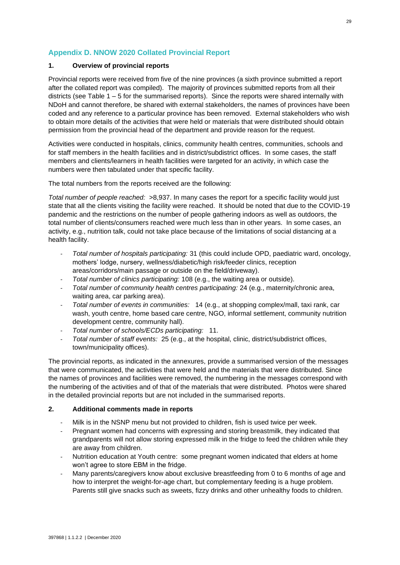## <span id="page-39-0"></span>**Appendix D. NNOW 2020 Collated Provincial Report**

#### **1. Overview of provincial reports**

Provincial reports were received from five of the nine provinces (a sixth province submitted a report after the collated report was compiled). The majority of provinces submitted reports from all their districts (see Table 1 – 5 for the summarised reports). Since the reports were shared internally with NDoH and cannot therefore, be shared with external stakeholders, the names of provinces have been coded and any reference to a particular province has been removed. External stakeholders who wish to obtain more details of the activities that were held or materials that were distributed should obtain permission from the provincial head of the department and provide reason for the request.

Activities were conducted in hospitals, clinics, community health centres, communities, schools and for staff members in the health facilities and in district/subdistrict offices. In some cases, the staff members and clients/learners in health facilities were targeted for an activity, in which case the numbers were then tabulated under that specific facility.

The total numbers from the reports received are the following:

*Total number of people reached:* >8,937. In many cases the report for a specific facility would just state that all the clients visiting the facility were reached. It should be noted that due to the COVID-19 pandemic and the restrictions on the number of people gathering indoors as well as outdoors, the total number of clients/consumers reached were much less than in other years. In some cases, an activity, e.g., nutrition talk, could not take place because of the limitations of social distancing at a health facility.

- *Total number of hospitals participating:* 31 (this could include OPD, paediatric ward, oncology, mothers' lodge, nursery, wellness/diabetic/high risk/feeder clinics, reception areas/corridors/main passage or outside on the field/driveway).
- *Total number of clinics participating:* 108 (e.g., the waiting area or outside).
- *Total number of community health centres participating:* 24 (e.g., maternity/chronic area, waiting area, car parking area).
- *Total number of events in communities:* 14 (e.g., at shopping complex/mall, taxi rank, car wash, youth centre, home based care centre, NGO, informal settlement, community nutrition development centre, community hall).
- *Total number of schools/ECDs participating:* 11.
- *Total number of staff events:* 25 (e.g., at the hospital, clinic, district/subdistrict offices, town/municipality offices).

The provincial reports, as indicated in the annexures, provide a summarised version of the messages that were communicated, the activities that were held and the materials that were distributed. Since the names of provinces and facilities were removed, the numbering in the messages correspond with the numbering of the activities and of that of the materials that were distributed. Photos were shared in the detailed provincial reports but are not included in the summarised reports.

#### **2. Additional comments made in reports**

- Milk is in the NSNP menu but not provided to children, fish is used twice per week.
- Pregnant women had concerns with expressing and storing breastmilk, they indicated that grandparents will not allow storing expressed milk in the fridge to feed the children while they are away from children.
- Nutrition education at Youth centre: some pregnant women indicated that elders at home won't agree to store EBM in the fridge.
- Many parents/caregivers know about exclusive breastfeeding from 0 to 6 months of age and how to interpret the weight-for-age chart, but complementary feeding is a huge problem. Parents still give snacks such as sweets, fizzy drinks and other unhealthy foods to children.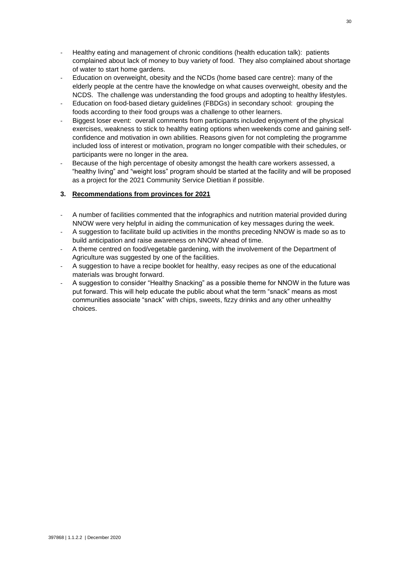- Healthy eating and management of chronic conditions (health education talk): patients complained about lack of money to buy variety of food. They also complained about shortage of water to start home gardens.
- Education on overweight, obesity and the NCDs (home based care centre): many of the elderly people at the centre have the knowledge on what causes overweight, obesity and the NCDS. The challenge was understanding the food groups and adopting to healthy lifestyles.
- Education on food-based dietary guidelines (FBDGs) in secondary school: grouping the foods according to their food groups was a challenge to other learners.
- Biggest loser event: overall comments from participants included enjoyment of the physical exercises, weakness to stick to healthy eating options when weekends come and gaining selfconfidence and motivation in own abilities. Reasons given for not completing the programme included loss of interest or motivation, program no longer compatible with their schedules, or participants were no longer in the area.
- Because of the high percentage of obesity amongst the health care workers assessed, a "healthy living" and "weight loss" program should be started at the facility and will be proposed as a project for the 2021 Community Service Dietitian if possible.

### **3. Recommendations from provinces for 2021**

- A number of facilities commented that the infographics and nutrition material provided during NNOW were very helpful in aiding the communication of key messages during the week.
- A suggestion to facilitate build up activities in the months preceding NNOW is made so as to build anticipation and raise awareness on NNOW ahead of time.
- A theme centred on food/vegetable gardening, with the involvement of the Department of Agriculture was suggested by one of the facilities.
- A suggestion to have a recipe booklet for healthy, easy recipes as one of the educational materials was brought forward.
- A suggestion to consider "Healthy Snacking" as a possible theme for NNOW in the future was put forward. This will help educate the public about what the term "snack" means as most communities associate "snack" with chips, sweets, fizzy drinks and any other unhealthy choices.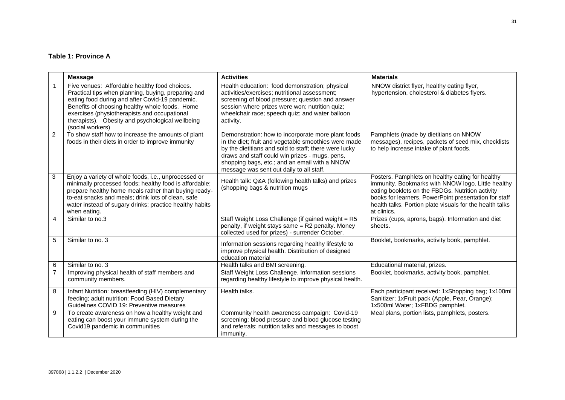## **Table 1: Province A**

|                | <b>Message</b>                                                                                                                                                                                                                                                                                                                    | <b>Activities</b>                                                                                                                                                                                                                                                                                                  | <b>Materials</b>                                                                                                                                                                                                                                                                               |
|----------------|-----------------------------------------------------------------------------------------------------------------------------------------------------------------------------------------------------------------------------------------------------------------------------------------------------------------------------------|--------------------------------------------------------------------------------------------------------------------------------------------------------------------------------------------------------------------------------------------------------------------------------------------------------------------|------------------------------------------------------------------------------------------------------------------------------------------------------------------------------------------------------------------------------------------------------------------------------------------------|
|                | Five venues: Affordable healthy food choices.<br>Practical tips when planning, buying, preparing and<br>eating food during and after Covid-19 pandemic.<br>Benefits of choosing healthy whole foods. Home<br>exercises (physiotherapists and occupational<br>therapists). Obesity and psychological wellbeing<br>(social workers) | Health education: food demonstration; physical<br>activities/exercises; nutritional assessment;<br>screening of blood pressure; question and answer<br>session where prizes were won; nutrition quiz;<br>wheelchair race; speech quiz; and water balloon<br>activity.                                              | NNOW district flyer, healthy eating flyer,<br>hypertension, cholesterol & diabetes flyers.                                                                                                                                                                                                     |
| $\overline{2}$ | To show staff how to increase the amounts of plant<br>foods in their diets in order to improve immunity                                                                                                                                                                                                                           | Demonstration: how to incorporate more plant foods<br>in the diet; fruit and vegetable smoothies were made<br>by the dietitians and sold to staff; there were lucky<br>draws and staff could win prizes - mugs, pens,<br>shopping bags, etc.; and an email with a NNOW<br>message was sent out daily to all staff. | Pamphlets (made by dietitians on NNOW<br>messages), recipes, packets of seed mix, checklists<br>to help increase intake of plant foods.                                                                                                                                                        |
| 3              | Enjoy a variety of whole foods, i.e., unprocessed or<br>minimally processed foods; healthy food is affordable;<br>prepare healthy home meals rather than buying ready-<br>to-eat snacks and meals; drink lots of clean, safe<br>water instead of sugary drinks; practice healthy habits<br>when eating.                           | Health talk: Q&A (following health talks) and prizes<br>(shopping bags & nutrition mugs                                                                                                                                                                                                                            | Posters. Pamphlets on healthy eating for healthy<br>immunity. Bookmarks with NNOW logo. Little healthy<br>eating booklets on the FBDGs. Nutrition activity<br>books for learners. PowerPoint presentation for staff<br>health talks. Portion plate visuals for the health talks<br>at clinics. |
| $\overline{4}$ | Similar to no.3                                                                                                                                                                                                                                                                                                                   | Staff Weight Loss Challenge (if gained weight = R5<br>penalty, if weight stays same = R2 penalty. Money<br>collected used for prizes) - surrender October.                                                                                                                                                         | Prizes (cups, aprons, bags). Information and diet<br>sheets.                                                                                                                                                                                                                                   |
| 5              | Similar to no. 3                                                                                                                                                                                                                                                                                                                  | Information sessions regarding healthy lifestyle to<br>improve physical health. Distribution of designed<br>education material                                                                                                                                                                                     | Booklet, bookmarks, activity book, pamphlet.                                                                                                                                                                                                                                                   |
| 6              | Similar to no. 3                                                                                                                                                                                                                                                                                                                  | Health talks and BMI screening.                                                                                                                                                                                                                                                                                    | Educational material, prizes.                                                                                                                                                                                                                                                                  |
| $\overline{7}$ | Improving physical health of staff members and<br>community members.                                                                                                                                                                                                                                                              | Staff Weight Loss Challenge. Information sessions<br>regarding healthy lifestyle to improve physical health.                                                                                                                                                                                                       | Booklet, bookmarks, activity book, pamphlet.                                                                                                                                                                                                                                                   |
| 8              | Infant Nutrition: breastfeeding (HIV) complementary<br>feeding; adult nutrition: Food Based Dietary<br>Guidelines COVID 19: Preventive measures                                                                                                                                                                                   | Health talks.                                                                                                                                                                                                                                                                                                      | Each participant received: 1xShopping bag; 1x100ml<br>Sanitizer; 1xFruit pack (Apple, Pear, Orange);<br>1x500ml Water; 1xFBDG pamphlet.                                                                                                                                                        |
| 9              | To create awareness on how a healthy weight and<br>eating can boost your immune system during the<br>Covid19 pandemic in communities                                                                                                                                                                                              | Community health awareness campaign: Covid-19<br>screening; blood pressure and blood glucose testing<br>and referrals; nutrition talks and messages to boost<br>immunity.                                                                                                                                          | Meal plans, portion lists, pamphlets, posters.                                                                                                                                                                                                                                                 |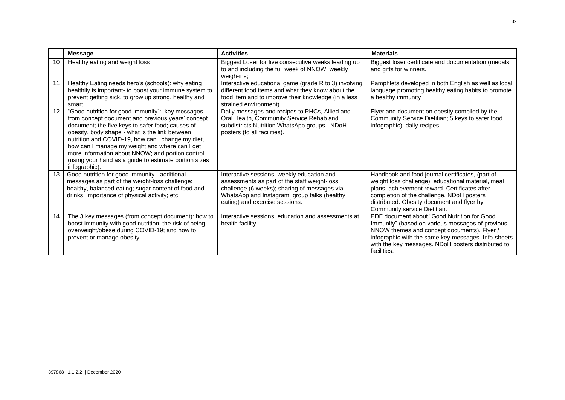|                   | <b>Message</b>                                                                                                                                                                                                                                                                                                                                                                                                                                   | <b>Activities</b>                                                                                                                                                                                                            | <b>Materials</b>                                                                                                                                                                                                                                                                   |
|-------------------|--------------------------------------------------------------------------------------------------------------------------------------------------------------------------------------------------------------------------------------------------------------------------------------------------------------------------------------------------------------------------------------------------------------------------------------------------|------------------------------------------------------------------------------------------------------------------------------------------------------------------------------------------------------------------------------|------------------------------------------------------------------------------------------------------------------------------------------------------------------------------------------------------------------------------------------------------------------------------------|
| 10                | Healthy eating and weight loss                                                                                                                                                                                                                                                                                                                                                                                                                   | Biggest Loser for five consecutive weeks leading up<br>to and including the full week of NNOW: weekly<br>weigh-ins;                                                                                                          | Biggest loser certificate and documentation (medals<br>and gifts for winners.                                                                                                                                                                                                      |
| 11                | Healthy Eating needs hero's (schools): why eating<br>healthily is important- to boost your immune system to<br>prevent getting sick, to grow up strong, healthy and<br>smart.                                                                                                                                                                                                                                                                    | Interactive educational game (grade R to 3) involving<br>different food items and what they know about the<br>food item and to improve their knowledge (in a less<br>strained environment)                                   | Pamphlets developed in both English as well as local<br>language promoting healthy eating habits to promote<br>a healthy immunity                                                                                                                                                  |
| $12 \overline{ }$ | "Good nutrition for good immunity": key messages<br>from concept document and previous years' concept<br>document; the five keys to safer food; causes of<br>obesity, body shape - what is the link between<br>nutrition and COVID-19, how can I change my diet,<br>how can I manage my weight and where can I get<br>more information about NNOW; and portion control<br>(using your hand as a guide to estimate portion sizes<br>infographic). | Daily messages and recipes to PHCs, Allied and<br>Oral Health, Community Service Rehab and<br>subdistricts Nutrition WhatsApp groups. NDoH<br>posters (to all facilities).                                                   | Flyer and document on obesity compiled by the<br>Community Service Dietitian; 5 keys to safer food<br>infographic); daily recipes.                                                                                                                                                 |
| 13                | Good nutrition for good immunity - additional<br>messages as part of the weight-loss challenge:<br>healthy, balanced eating; sugar content of food and<br>drinks; importance of physical activity; etc                                                                                                                                                                                                                                           | Interactive sessions, weekly education and<br>assessments as part of the staff weight-loss<br>challenge (6 weeks); sharing of messages via<br>WhatsApp and Instagram, group talks (healthy<br>eating) and exercise sessions. | Handbook and food journal certificates, (part of<br>weight loss challenge), educational material, meal<br>plans, achievement reward. Certificates after<br>completion of the challenge. NDoH posters<br>distributed. Obesity document and flyer by<br>Community service Dietitian. |
| 14                | The 3 key messages (from concept document): how to<br>boost immunity with good nutrition; the risk of being<br>overweight/obese during COVID-19; and how to<br>prevent or manage obesity.                                                                                                                                                                                                                                                        | Interactive sessions, education and assessments at<br>health facility                                                                                                                                                        | PDF document about "Good Nutrition for Good<br>Immunity" (based on various messages of previous<br>NNOW themes and concept documents). Flyer /<br>infographic with the same key messages. Info-sheets<br>with the key messages. NDoH posters distributed to<br>facilities.         |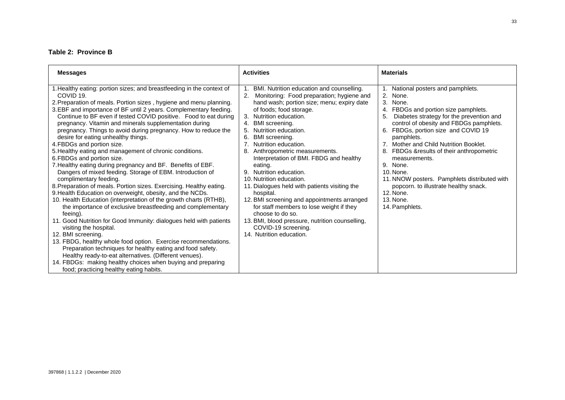## **Table 2: Province B**

| <b>Messages</b>                                                                                                                                                                                                                                                                                                                                                                                                                                                                                                                                                                                                                                                                                                                                                                                                                                                                                                                                                                                                                                                                                                                                                                                                                                                                                                                                                                                                                                                | <b>Activities</b>                                                                                                                                                                                                                                                                                                                                                                                                                                                                                                                                                                                                                                                                                                                                              | <b>Materials</b>                                                                                                                                                                                                                                                                                                                                                                                                                                                                                                            |
|----------------------------------------------------------------------------------------------------------------------------------------------------------------------------------------------------------------------------------------------------------------------------------------------------------------------------------------------------------------------------------------------------------------------------------------------------------------------------------------------------------------------------------------------------------------------------------------------------------------------------------------------------------------------------------------------------------------------------------------------------------------------------------------------------------------------------------------------------------------------------------------------------------------------------------------------------------------------------------------------------------------------------------------------------------------------------------------------------------------------------------------------------------------------------------------------------------------------------------------------------------------------------------------------------------------------------------------------------------------------------------------------------------------------------------------------------------------|----------------------------------------------------------------------------------------------------------------------------------------------------------------------------------------------------------------------------------------------------------------------------------------------------------------------------------------------------------------------------------------------------------------------------------------------------------------------------------------------------------------------------------------------------------------------------------------------------------------------------------------------------------------------------------------------------------------------------------------------------------------|-----------------------------------------------------------------------------------------------------------------------------------------------------------------------------------------------------------------------------------------------------------------------------------------------------------------------------------------------------------------------------------------------------------------------------------------------------------------------------------------------------------------------------|
| I. Healthy eating: portion sizes; and breastfeeding in the context of<br>COVID 19.<br>2. Preparation of meals. Portion sizes, hygiene and menu planning.<br>3. EBF and importance of BF until 2 years. Complementary feeding.<br>Continue to BF even if tested COVID positive. Food to eat during<br>pregnancy. Vitamin and minerals supplementation during<br>pregnancy. Things to avoid during pregnancy. How to reduce the<br>desire for eating unhealthy things.<br>4. FBDGs and portion size.<br>5. Healthy eating and management of chronic conditions.<br>6.FBDGs and portion size.<br>7. Healthy eating during pregnancy and BF. Benefits of EBF.<br>Dangers of mixed feeding. Storage of EBM. Introduction of<br>complimentary feeding.<br>8. Preparation of meals. Portion sizes. Exercising. Healthy eating.<br>9. Health Education on overweight, obesity, and the NCDs.<br>10. Health Education (interpretation of the growth charts (RTHB),<br>the importance of exclusive breastfeeding and complementary<br>feeing).<br>11. Good Nutrition for Good Immunity: dialogues held with patients<br>visiting the hospital.<br>12. BMI screening.<br>13. FBDG, healthy whole food option. Exercise recommendations.<br>Preparation techniques for healthy eating and food safety.<br>Healthy ready-to-eat alternatives. (Different venues).<br>14. FBDGs: making healthy choices when buying and preparing<br>food; practicing healthy eating habits. | BMI. Nutrition education and counselling.<br>Monitoring: Food preparation; hygiene and<br>2.<br>hand wash; portion size; menu; expiry date<br>of foods; food storage.<br>Nutrition education.<br>3.<br>4.<br>BMI screening.<br>Nutrition education.<br>5.<br>6.<br>BMI screening.<br>7 <sub>1</sub><br>Nutrition education.<br>Anthropometric measurements.<br>Interpretation of BMI. FBDG and healthy<br>eating.<br>Nutrition education.<br>9.<br>10. Nutrition education.<br>11. Dialogues held with patients visiting the<br>hospital.<br>12. BMI screening and appointments arranged<br>for staff members to lose weight if they<br>choose to do so.<br>13. BMI, blood pressure, nutrition counselling,<br>COVID-19 screening.<br>14. Nutrition education. | National posters and pamphlets.<br>2.<br>None.<br>3. None.<br>4. FBDGs and portion size pamphlets.<br>Diabetes strategy for the prevention and<br>5.<br>control of obesity and FBDGs pamphlets.<br>6. FBDGs, portion size and COVID 19<br>pamphlets.<br>7. Mother and Child Nutrition Booklet.<br>8. FBDGs & results of their anthropometric<br>measurements.<br>9. None.<br>10. None.<br>11. NNOW posters. Pamphlets distributed with<br>popcorn. to illustrate healthy snack.<br>12. None.<br>13. None.<br>14. Pamphlets. |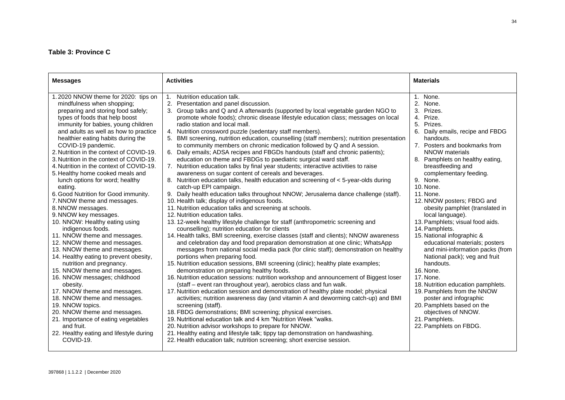## **Table 3: Province C**

| <b>Messages</b>                                                                                                                                                                                                                                                                                                                                                                                                                                                                                                                                                                                                                                                                                                                                                                                                                                                                                                                                                                                                                                                                                                                                                           | <b>Activities</b>                                                                                                                                                                                                                                                                                                                                                                                                                                                                                                                                                                                                                                                                                                                                                                                                                                                                                                                                                                                                                                                                                                                                                                                                                                                                                                                                                                                                                                                                                                                                                                                                                                                                                                                                                                                                                                                                                                                                                                                                                                                                                                                                                                                                                                                                                                                                                                                                                                                                        | <b>Materials</b>                                                                                                                                                                                                                                                                                                                                                                                                                                                                                                                                                                                                                                                                                                                                                                                                 |
|---------------------------------------------------------------------------------------------------------------------------------------------------------------------------------------------------------------------------------------------------------------------------------------------------------------------------------------------------------------------------------------------------------------------------------------------------------------------------------------------------------------------------------------------------------------------------------------------------------------------------------------------------------------------------------------------------------------------------------------------------------------------------------------------------------------------------------------------------------------------------------------------------------------------------------------------------------------------------------------------------------------------------------------------------------------------------------------------------------------------------------------------------------------------------|------------------------------------------------------------------------------------------------------------------------------------------------------------------------------------------------------------------------------------------------------------------------------------------------------------------------------------------------------------------------------------------------------------------------------------------------------------------------------------------------------------------------------------------------------------------------------------------------------------------------------------------------------------------------------------------------------------------------------------------------------------------------------------------------------------------------------------------------------------------------------------------------------------------------------------------------------------------------------------------------------------------------------------------------------------------------------------------------------------------------------------------------------------------------------------------------------------------------------------------------------------------------------------------------------------------------------------------------------------------------------------------------------------------------------------------------------------------------------------------------------------------------------------------------------------------------------------------------------------------------------------------------------------------------------------------------------------------------------------------------------------------------------------------------------------------------------------------------------------------------------------------------------------------------------------------------------------------------------------------------------------------------------------------------------------------------------------------------------------------------------------------------------------------------------------------------------------------------------------------------------------------------------------------------------------------------------------------------------------------------------------------------------------------------------------------------------------------------------------------|------------------------------------------------------------------------------------------------------------------------------------------------------------------------------------------------------------------------------------------------------------------------------------------------------------------------------------------------------------------------------------------------------------------------------------------------------------------------------------------------------------------------------------------------------------------------------------------------------------------------------------------------------------------------------------------------------------------------------------------------------------------------------------------------------------------|
| .2020 NNOW theme for 2020: tips on<br>mindfulness when shopping;<br>preparing and storing food safely;<br>types of foods that help boost<br>immunity for babies, young children<br>and adults as well as how to practice<br>healthier eating habits during the<br>COVID-19 pandemic.<br>2. Nutrition in the context of COVID-19.<br>3. Nutrition in the context of COVID-19.<br>4. Nutrition in the context of COVID-19.<br>5. Healthy home cooked meals and<br>lunch options for word; healthy<br>eating.<br>6. Good Nutrition for Good immunity.<br>7. NNOW theme and messages.<br>8. NNOW messages.<br>9. NNOW key messages.<br>10. NNOW: Healthy eating using<br>indigenous foods.<br>11. NNOW theme and messages.<br>12. NNOW theme and messages.<br>13. NNOW theme and messages.<br>14. Healthy eating to prevent obesity,<br>nutrition and pregnancy.<br>15. NNOW theme and messages.<br>16. NNOW messages; childhood<br>obesity.<br>17. NNOW theme and messages.<br>18. NNOW theme and messages.<br>19. NNOW topics.<br>20. NNOW theme and messages.<br>21. Importance of eating vegetables<br>and fruit.<br>22. Healthy eating and lifestyle during<br>COVID-19. | Nutrition education talk.<br>1.<br>2. Presentation and panel discussion.<br>3. Group talks and Q and A afterwards (supported by local vegetable garden NGO to<br>promote whole foods); chronic disease lifestyle education class; messages on local<br>radio station and local mall.<br>4. Nutrition crossword puzzle (sedentary staff members).<br>5. BMI screening, nutrition education, counselling (staff members); nutrition presentation<br>to community members on chronic medication followed by Q and A session.<br>6. Daily emails; ADSA recipes and FBGDs handouts (staff and chronic patients);<br>education on theme and FBDGs to paediatric surgical ward staff.<br>7. Nutrition education talks by final year students; interactive activities to raise<br>awareness on sugar content of cereals and beverages.<br>8. Nutrition education talks, health education and screening of < 5-year-olds during<br>catch-up EPI campaign.<br>9. Daily health education talks throughout NNOW; Jerusalema dance challenge (staff).<br>10. Health talk; display of indigenous foods.<br>11. Nutrition education talks and screening at schools.<br>12. Nutrition education talks.<br>13.12-week healthy lifestyle challenge for staff (anthropometric screening and<br>counselling); nutrition education for clients<br>14. Health talks, BMI screening, exercise classes (staff and clients); NNOW awareness<br>and celebration day and food preparation demonstration at one clinic; WhatsApp<br>messages from national social media pack (for clinic staff); demonstration on healthy<br>portions when preparing food.<br>15. Nutrition education sessions, BMI screening (clinic); healthy plate examples;<br>demonstration on preparing healthy foods.<br>16. Nutrition education sessions: nutrition workshop and announcement of Biggest loser<br>(staff – event ran throughout year), aerobics class and fun walk.<br>17. Nutrition education session and demonstration of healthy plate model; physical<br>activities; nutrition awareness day (and vitamin A and deworming catch-up) and BMI<br>screening (staff).<br>18. FBDG demonstrations; BMI screening; physical exercises.<br>19. Nutritional education talk and 4 km "Nutrition Week "walks.<br>20. Nutrition advisor workshops to prepare for NNOW.<br>21. Healthy eating and lifestyle talk; tippy tap demonstration on handwashing.<br>22. Health education talk; nutrition screening; short exercise session. | 1. None.<br>2. None.<br>3. Prizes.<br>4. Prize.<br>5. Prizes.<br>6. Daily emails, recipe and FBDG<br>handouts.<br>7. Posters and bookmarks from<br>NNOW materials<br>8. Pamphlets on healthy eating,<br>breastfeeding and<br>complementary feeding.<br>9. None.<br>10. None.<br>11. None.<br>12. NNOW posters; FBDG and<br>obesity pamphlet (translated in<br>local language).<br>13. Pamphlets; visual food aids.<br>14. Pamphlets.<br>15. National infographic &<br>educational materials; posters<br>and mini-information packs (from<br>National pack); veg and fruit<br>handouts.<br>16. None.<br>17. None.<br>18. Nutrition education pamphlets.<br>19. Pamphlets from the NNOW<br>poster and infographic<br>20. Pamphlets based on the<br>objectives of NNOW.<br>21. Pamphlets.<br>22. Pamphlets on FBDG. |
|                                                                                                                                                                                                                                                                                                                                                                                                                                                                                                                                                                                                                                                                                                                                                                                                                                                                                                                                                                                                                                                                                                                                                                           |                                                                                                                                                                                                                                                                                                                                                                                                                                                                                                                                                                                                                                                                                                                                                                                                                                                                                                                                                                                                                                                                                                                                                                                                                                                                                                                                                                                                                                                                                                                                                                                                                                                                                                                                                                                                                                                                                                                                                                                                                                                                                                                                                                                                                                                                                                                                                                                                                                                                                          |                                                                                                                                                                                                                                                                                                                                                                                                                                                                                                                                                                                                                                                                                                                                                                                                                  |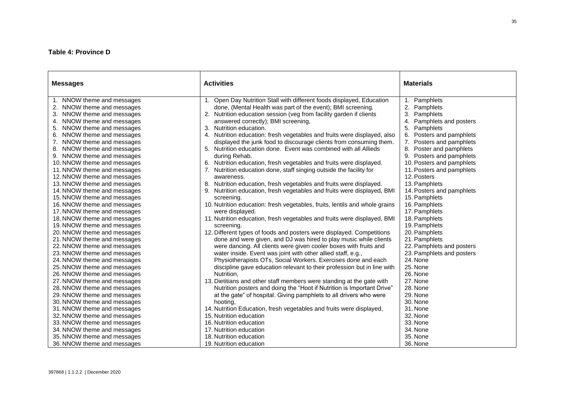### **Table 4: Province D**

| <b>Messages</b>                                                                                                                                                                                                                                                                                                                                                                                                                                                                                                                                                                                                                                                                                                                                                                                                                                                                                                                                                                      | <b>Activities</b>                                                                                                                                                                                                                                                                                                                                                                                                                                                                                                                                                                                                                                                                                                                                                                                                                                                                                                                                                                                                                                                                                                                                                                                                                                                                                                                                                                                                                                                                                                                                                                                                                                                                                                                                                                                         | <b>Materials</b>                                                                                                                                                                                                                                                                                                                                                                                                                                                                                                                                                                                                                           |
|--------------------------------------------------------------------------------------------------------------------------------------------------------------------------------------------------------------------------------------------------------------------------------------------------------------------------------------------------------------------------------------------------------------------------------------------------------------------------------------------------------------------------------------------------------------------------------------------------------------------------------------------------------------------------------------------------------------------------------------------------------------------------------------------------------------------------------------------------------------------------------------------------------------------------------------------------------------------------------------|-----------------------------------------------------------------------------------------------------------------------------------------------------------------------------------------------------------------------------------------------------------------------------------------------------------------------------------------------------------------------------------------------------------------------------------------------------------------------------------------------------------------------------------------------------------------------------------------------------------------------------------------------------------------------------------------------------------------------------------------------------------------------------------------------------------------------------------------------------------------------------------------------------------------------------------------------------------------------------------------------------------------------------------------------------------------------------------------------------------------------------------------------------------------------------------------------------------------------------------------------------------------------------------------------------------------------------------------------------------------------------------------------------------------------------------------------------------------------------------------------------------------------------------------------------------------------------------------------------------------------------------------------------------------------------------------------------------------------------------------------------------------------------------------------------------|--------------------------------------------------------------------------------------------------------------------------------------------------------------------------------------------------------------------------------------------------------------------------------------------------------------------------------------------------------------------------------------------------------------------------------------------------------------------------------------------------------------------------------------------------------------------------------------------------------------------------------------------|
| 1. NNOW theme and messages<br>2. NNOW theme and messages<br>3. NNOW theme and messages<br>4. NNOW theme and messages<br>5. NNOW theme and messages<br>6. NNOW theme and messages<br>7. NNOW theme and messages<br>8. NNOW theme and messages<br>9. NNOW theme and messages<br>10. NNOW theme and messages<br>11. NNOW theme and messages<br>12. NNOW theme and messages<br>13. NNOW theme and messages<br>14. NNOW theme and messages<br>15. NNOW theme and messages<br>16. NNOW theme and messages<br>17. NNOW theme and messages<br>18. NNOW theme and messages<br>19. NNOW theme and messages<br>20. NNOW theme and messages<br>21. NNOW theme and messages<br>22. NNOW theme and messages<br>23. NNOW theme and messages<br>24. NNOW theme and messages<br>25. NNOW theme and messages<br>26. NNOW theme and messages<br>27. NNOW theme and messages<br>28. NNOW theme and messages<br>29. NNOW theme and messages<br>30. NNOW theme and messages<br>31. NNOW theme and messages | 1. Open Day Nutrition Stall with different foods displayed, Education<br>done, (Mental Health was part of the event); BMI screening.<br>2. Nutrition education session (veg from facility garden if clients<br>answered correctly); BMI screening,<br>3.<br>Nutrition education.<br>Nutrition education: fresh vegetables and fruits were displayed, also<br>4.<br>displayed the junk food to discourage clients from consuming them.<br>5. Nutrition education done. Event was combined with all Allieds<br>during Rehab.<br>6. Nutrition education, fresh vegetables and fruits were displayed.<br>Nutrition education done, staff singing outside the facility for<br>awareness.<br>Nutrition education, fresh vegetables and fruits were displayed.<br>8.<br>Nutrition education, fresh vegetables and fruits were displayed, BMI<br>screening.<br>10. Nutrition education: fresh vegetables, fruits, lentils and whole grains<br>were displayed.<br>11. Nutrition education, fresh vegetables and fruits were displayed, BMI<br>screening.<br>12. Different types of foods and posters were displayed. Competitions<br>done and were given, and DJ was hired to play music while clients<br>were dancing. All clients were given cooler boxes with fruits and<br>water inside. Event was joint with other allied staff, e.g.,<br>Physiotherapists OTs, Social Workers. Exercises done and each<br>discipline gave education relevant to their profession but in line with<br>Nutrition,<br>13. Dietitians and other staff members were standing at the gate with<br>Nutrition posters and doing the "Hoot if Nutrition is Important Drive"<br>at the gate" of hospital. Giving pamphlets to all drivers who were<br>hooting.<br>14. Nutrition Education, fresh vegetables and fruits were displayed, | Pamphlets<br>1.<br>Pamphlets<br>3.<br>Pamphlets<br>4.<br>Pamphlets and posters<br>5.<br>Pamphlets<br>Posters and pamphlets<br>6.<br>7 <sub>1</sub><br>Posters and pamphlets<br>8. Poster and pamphlets<br>9. Posters and pamphlets<br>10. Posters and pamphlets<br>11. Posters and pamphlets<br>12. Posters<br>13. Pamphlets<br>14. Posters and pamphlets<br>15. Pamphlets<br>16. Pamphlets<br>17. Pamphlets<br>18. Pamphlets<br>19. Pamphlets<br>20. Pamphlets<br>21. Pamphlets<br>22. Pamphlets and posters<br>23. Pamphlets and posters<br>24. None<br>25. None<br>26. None<br>27. None<br>28. None<br>29. None<br>30. None<br>31. None |
| 32. NNOW theme and messages<br>33. NNOW theme and messages<br>34. NNOW theme and messages<br>35. NNOW theme and messages                                                                                                                                                                                                                                                                                                                                                                                                                                                                                                                                                                                                                                                                                                                                                                                                                                                             | 15. Nutrition education<br>16. Nutrition education<br>17. Nutrition education<br>18. Nutrition education                                                                                                                                                                                                                                                                                                                                                                                                                                                                                                                                                                                                                                                                                                                                                                                                                                                                                                                                                                                                                                                                                                                                                                                                                                                                                                                                                                                                                                                                                                                                                                                                                                                                                                  | 32. None<br>33. None<br>34. None<br>35. None                                                                                                                                                                                                                                                                                                                                                                                                                                                                                                                                                                                               |
| 36. NNOW theme and messages                                                                                                                                                                                                                                                                                                                                                                                                                                                                                                                                                                                                                                                                                                                                                                                                                                                                                                                                                          | 19. Nutrition education                                                                                                                                                                                                                                                                                                                                                                                                                                                                                                                                                                                                                                                                                                                                                                                                                                                                                                                                                                                                                                                                                                                                                                                                                                                                                                                                                                                                                                                                                                                                                                                                                                                                                                                                                                                   | 36. None                                                                                                                                                                                                                                                                                                                                                                                                                                                                                                                                                                                                                                   |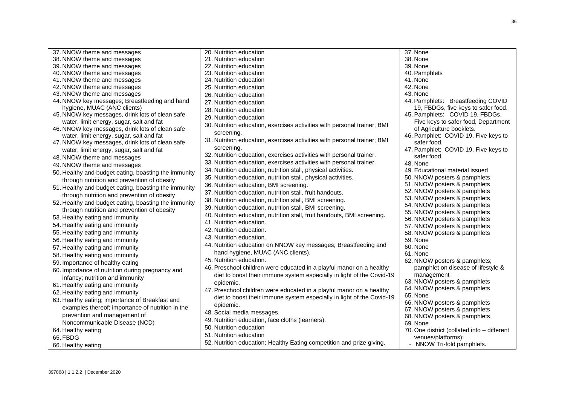| 37. NNOW theme and messages                          | 20. Nutrition education                                                  | 37. None                                    |
|------------------------------------------------------|--------------------------------------------------------------------------|---------------------------------------------|
| 38. NNOW theme and messages                          | 21. Nutrition education                                                  | 38. None                                    |
| 39. NNOW theme and messages                          | 22. Nutrition education                                                  | 39. None                                    |
| 40. NNOW theme and messages                          | 23. Nutrition education                                                  | 40. Pamphlets                               |
| 41. NNOW theme and messages                          | 24. Nutrition education                                                  | 41. None                                    |
| 42. NNOW theme and messages                          | 25. Nutrition education                                                  | 42. None                                    |
| 43. NNOW theme and messages                          | 26. Nutrition education                                                  | 43. None                                    |
| 44. NNOW key messages; Breastfeeding and hand        | 27. Nutrition education                                                  | 44. Pamphlets: Breastfeeding COVID          |
| hygiene, MUAC (ANC clients)                          | 28. Nutrition education                                                  | 19, FBDGs, five keys to safer food.         |
| 45. NNOW key messages, drink lots of clean safe      | 29. Nutrition education                                                  | 45. Pamphlets: COVID 19, FBDGs,             |
| water, limit energy, sugar, salt and fat             |                                                                          | Five keys to safer food, Department         |
| 46. NNOW key messages, drink lots of clean safe      | 30. Nutrition education, exercises activities with personal trainer; BMI | of Agriculture booklets.                    |
| water, limit energy, sugar, salt and fat             | screening.                                                               | 46. Pamphlet: COVID 19, Five keys to        |
| 47. NNOW key messages, drink lots of clean safe      | 31. Nutrition education, exercises activities with personal trainer; BMI | safer food.                                 |
| water, limit energy, sugar, salt and fat             | screening.                                                               | 47. Pamphlet: COVID 19, Five keys to        |
| 48. NNOW theme and messages                          | 32. Nutrition education, exercises activities with personal trainer.     | safer food.                                 |
| 49. NNOW theme and messages                          | 33. Nutrition education, exercises activities with personal trainer.     | 48. None                                    |
| 50. Healthy and budget eating, boasting the immunity | 34. Nutrition education, nutrition stall, physical activities.           | 49. Educational material issued             |
| through nutrition and prevention of obesity          | 35. Nutrition education, nutrition stall, physical activities.           | 50. NNOW posters & pamphlets                |
| 51. Healthy and budget eating, boasting the immunity | 36. Nutrition education, BMI screening.                                  | 51. NNOW posters & pamphlets                |
|                                                      | 37. Nutrition education, nutrition stall, fruit handouts.                | 52. NNOW posters & pamphlets                |
| through nutrition and prevention of obesity          | 38. Nutrition education, nutrition stall, BMI screening.                 | 53. NNOW posters & pamphlets                |
| 52. Healthy and budget eating, boasting the immunity | 39. Nutrition education, nutrition stall, BMI screening.                 | 54. NNOW posters & pamphlets                |
| through nutrition and prevention of obesity          | 40. Nutrition education, nutrition stall, fruit handouts, BMI screening. | 55. NNOW posters & pamphlets                |
| 53. Healthy eating and immunity                      | 41. Nutrition education.                                                 | 56. NNOW posters & pamphlets                |
| 54. Healthy eating and immunity                      |                                                                          | 57. NNOW posters & pamphlets                |
| 55. Healthy eating and immunity                      | 42. Nutrition education.                                                 | 58. NNOW posters & pamphlets                |
| 56. Healthy eating and immunity                      | 43. Nutrition education.                                                 | 59. None                                    |
| 57. Healthy eating and immunity                      | 44. Nutrition education on NNOW key messages; Breastfeeding and          | 60. None                                    |
| 58. Healthy eating and immunity                      | hand hygiene, MUAC (ANC clients).                                        | 61. None                                    |
| 59. Importance of healthy eating                     | 45. Nutrition education.                                                 | 62. NNOW posters & pamphlets;               |
| 60. Importance of nutrition during pregnancy and     | 46. Preschool children were educated in a playful manor on a healthy     | pamphlet on disease of lifestyle &          |
| infancy; nutrition and immunity                      | diet to boost their immune system especially in light of the Covid-19    | management                                  |
| 61. Healthy eating and immunity                      | epidemic.                                                                | 63. NNOW posters & pamphlets                |
| 62. Healthy eating and immunity                      | 47. Preschool children were educated in a playful manor on a healthy     | 64. NNOW posters & pamphlets                |
|                                                      | diet to boost their immune system especially in light of the Covid-19    | 65. None                                    |
| 63. Healthy eating; importance of Breakfast and      | epidemic.                                                                | 66. NNOW posters & pamphlets                |
| examples thereof; importance of nutrition in the     | 48. Social media messages.                                               | 67. NNOW posters & pamphlets                |
| prevention and management of                         | 49. Nutrition education, face cloths (learners).                         | 68. NNOW posters & pamphlets                |
| Noncommunicable Disease (NCD)                        | 50. Nutrition education                                                  | 69. None                                    |
| 64. Healthy eating                                   | 51. Nutrition education                                                  | 70. One district (collated info - different |
| 65. FBDG                                             |                                                                          | venues/platforms):                          |
| 66. Healthy eating                                   | 52. Nutrition education; Healthy Eating competition and prize giving.    | - NNOW Tri-fold pamphlets.                  |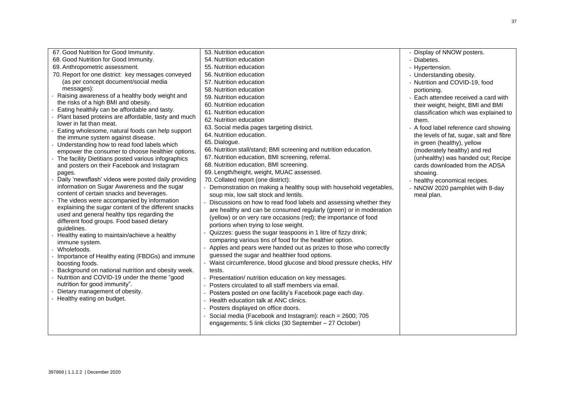| 67. Good Nutrition for Good Immunity.                                                            | 53. Nutrition education                                             | - Display of NNOW posters.               |
|--------------------------------------------------------------------------------------------------|---------------------------------------------------------------------|------------------------------------------|
| 68. Good Nutrition for Good Immunity.                                                            | 54. Nutrition education                                             | - Diabetes.                              |
| 69. Anthropometric assessment.                                                                   | 55. Nutrition education                                             | - Hypertension.                          |
| 70. Report for one district: key messages conveyed                                               | 56. Nutrition education                                             | - Understanding obesity.                 |
| (as per concept document/social media                                                            | 57. Nutrition education                                             | - Nutrition and COVID-19, food           |
| messages):                                                                                       | 58. Nutrition education                                             | portioning.                              |
| Raising awareness of a healthy body weight and                                                   | 59. Nutrition education                                             | - Each attendee received a card with     |
| the risks of a high BMI and obesity.                                                             | 60. Nutrition education                                             | their weight, height, BMI and BMI        |
| Eating healthily can be affordable and tasty.                                                    | 61. Nutrition education                                             | classification which was explained to    |
| Plant based proteins are affordable, tasty and much                                              | 62. Nutrition education                                             | them.                                    |
| lower in fat than meat.                                                                          | 63. Social media pages targeting district.                          | - A food label reference card showing    |
| Eating wholesome, natural foods can help support                                                 | 64. Nutrition education.                                            | the levels of fat, sugar, salt and fibre |
| the immune system against disease.                                                               | 65. Dialogue.                                                       | in green (healthy), yellow               |
| Understanding how to read food labels which<br>empower the consumer to choose healthier options. | 66. Nutrition stall/stand; BMI screening and nutrition education.   | (moderately healthy) and red             |
| The facility Dietitians posted various infographics                                              | 67. Nutrition education, BMI screening, referral.                   | (unhealthy) was handed out; Recipe       |
| and posters on their Facebook and Instagram                                                      | 68. Nutrition education, BMI screening.                             | cards downloaded from the ADSA           |
|                                                                                                  | 69. Length/height, weight, MUAC assessed.                           | showing.                                 |
| pages.<br>Daily 'newsflash' videos were posted daily providing                                   | 70. Collated report (one district):                                 |                                          |
| information on Sugar Awareness and the sugar                                                     | - Demonstration on making a healthy soup with household vegetables, | - healthy economical recipes.            |
| content of certain snacks and beverages.                                                         |                                                                     | - NNOW 2020 pamphlet with 8-day          |
| The videos were accompanied by information                                                       | soup mix, low salt stock and lentils.                               | meal plan.                               |
| explaining the sugar content of the different snacks                                             | Discussions on how to read food labels and assessing whether they   |                                          |
| used and general healthy tips regarding the                                                      | are healthy and can be consumed regularly (green) or in moderation  |                                          |
| different food groups. Food based dietary                                                        | (yellow) or on very rare occasions (red); the importance of food    |                                          |
| quidelines.                                                                                      | portions when trying to lose weight.                                |                                          |
| Healthy eating to maintain/achieve a healthy                                                     | Quizzes: guess the sugar teaspoons in 1 litre of fizzy drink;       |                                          |
| immune system.                                                                                   | comparing various tins of food for the healthier option.            |                                          |
| Wholefoods.                                                                                      | Apples and pears were handed out as prizes to those who correctly   |                                          |
| Importance of Healthy eating (FBDGs) and immune                                                  | guessed the sugar and healthier food options.                       |                                          |
| boosting foods.                                                                                  | - Waist circumference, blood glucose and blood pressure checks, HIV |                                          |
| Background on national nutrition and obesity week.                                               | tests.                                                              |                                          |
| Nutrition and COVID-19 under the theme "good                                                     | Presentation/ nutrition education on key messages.                  |                                          |
| nutrition for good immunity".                                                                    | Posters circulated to all staff members via email.                  |                                          |
| Dietary management of obesity.                                                                   | - Posters posted on one facility's Facebook page each day.          |                                          |
| Healthy eating on budget.                                                                        | Health education talk at ANC clinics.                               |                                          |
|                                                                                                  | Posters displayed on office doors.                                  |                                          |
|                                                                                                  | Social media (Facebook and Instagram): reach = 2600; 705            |                                          |
|                                                                                                  | engagements; 5 link clicks (30 September - 27 October)              |                                          |
|                                                                                                  |                                                                     |                                          |
|                                                                                                  |                                                                     |                                          |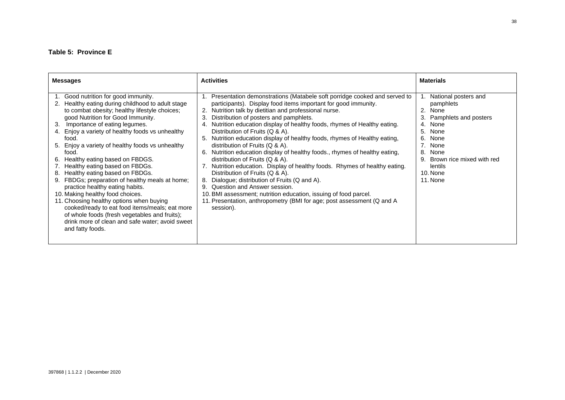## **Table 5: Province E**

| <b>Messages</b>                                                                                                                                                                                                                                                                                                                                                                                                                                                                                                                                                                                                                                                                                                                                                                                                 | <b>Activities</b>                                                                                                                                                                                                                                                                                                                                                                                                                                                                                                                                                                                                                                                                                                                                                                                                                                                                                                                                                                | <b>Materials</b>                                                                                                                                                                                                                      |
|-----------------------------------------------------------------------------------------------------------------------------------------------------------------------------------------------------------------------------------------------------------------------------------------------------------------------------------------------------------------------------------------------------------------------------------------------------------------------------------------------------------------------------------------------------------------------------------------------------------------------------------------------------------------------------------------------------------------------------------------------------------------------------------------------------------------|----------------------------------------------------------------------------------------------------------------------------------------------------------------------------------------------------------------------------------------------------------------------------------------------------------------------------------------------------------------------------------------------------------------------------------------------------------------------------------------------------------------------------------------------------------------------------------------------------------------------------------------------------------------------------------------------------------------------------------------------------------------------------------------------------------------------------------------------------------------------------------------------------------------------------------------------------------------------------------|---------------------------------------------------------------------------------------------------------------------------------------------------------------------------------------------------------------------------------------|
| Good nutrition for good immunity.<br>Healthy eating during childhood to adult stage<br>2.<br>to combat obesity; healthy lifestyle choices;<br>good Nutrition for Good Immunity.<br>Importance of eating legumes.<br>3.<br>4. Enjoy a variety of healthy foods vs unhealthy<br>food.<br>5. Enjoy a variety of healthy foods vs unhealthy<br>food.<br>Healthy eating based on FBDGS.<br>6.<br>Healthy eating based on FBDGs.<br>Healthy eating based on FBDGs.<br>8.<br>FBDGs; preparation of healthy meals at home;<br>practice healthy eating habits.<br>10. Making healthy food choices.<br>11. Choosing healthy options when buying<br>cooked/ready to eat food items/meals; eat more<br>of whole foods (fresh vegetables and fruits);<br>drink more of clean and safe water; avoid sweet<br>and fatty foods. | Presentation demonstrations (Matabele soft porridge cooked and served to<br>participants). Display food items important for good immunity.<br>2. Nutrition talk by dietitian and professional nurse.<br>Distribution of posters and pamphlets.<br>3.<br>4. Nutrition education display of healthy foods, rhymes of Healthy eating.<br>Distribution of Fruits (Q & A).<br>5. Nutrition education display of healthy foods, rhymes of Healthy eating,<br>distribution of Fruits (Q & A).<br>6. Nutrition education display of healthy foods., rhymes of healthy eating,<br>distribution of Fruits $(Q & A)$ .<br>7. Nutrition education. Display of healthy foods. Rhymes of healthy eating.<br>Distribution of Fruits (Q & A).<br>Dialogue; distribution of Fruits (Q and A).<br>8.<br>9. Question and Answer session.<br>10. BMI assessment; nutrition education, issuing of food parcel.<br>11. Presentation, anthropometry (BMI for age; post assessment (Q and A<br>session). | 1. National posters and<br>pamphlets<br>$\overline{2}$ .<br>None<br>Pamphlets and posters<br>3.<br>4. None<br>5.<br>None<br>6.<br>None<br>7. None<br>8.<br>None<br>Brown rice mixed with red<br>9.<br>lentils<br>10. None<br>11. None |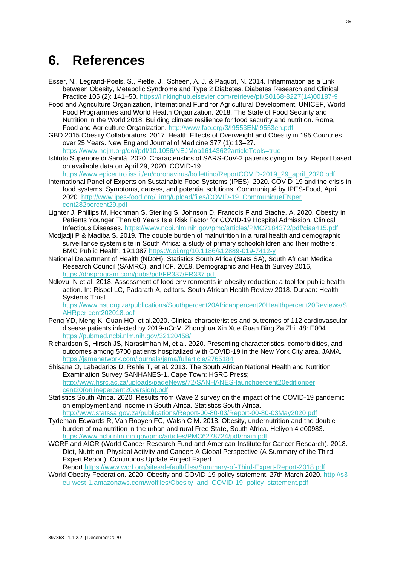## <span id="page-49-0"></span>**6. References**

- Esser, N., Legrand-Poels, S., Piette, J., Scheen, A. J. & Paquot, N. 2014. Inflammation as a Link between Obesity, Metabolic Syndrome and Type 2 Diabetes. Diabetes Research and Clinical Practice 105 (2): 141–50. https://linkinghub.elsevier.com/retrieve/pii/S0168-8227(14)00187-9
- Food and Agriculture Organization, International Fund for Agricultural Development, UNICEF, World Food Programmes and World Health Organization. 2018. The State of Food Security and Nutrition in the World 2018. Building climate resilience for food security and nutrition. Rome, Food and Agriculture Organization. http://www.fao.org/3/I9553EN/i9553en.pdf
- GBD 2015 Obesity Collaborators. 2017. Health Effects of Overweight and Obesity in 195 Countries over 25 Years. New England Journal of Medicine 377 (1): 13–27.
- https://www.nejm.org/doi/pdf/10.1056/NEJMoa1614362?articleTools=true Istituto Superiore di Sanità. 2020. Characteristics of SARS-CoV-2 patients dying in Italy. Report based on available data on April 29, 2020. COVID-19.
- https://www.epicentro.iss.it/en/coronavirus/bollettino/ReportCOVID-2019\_29\_april\_2020.pdf International Panel of Experts on Sustainable Food Systems (IPES). 2020. COVID-19 and the crisis in food systems: Symptoms, causes, and potential solutions. Communiqué by IPES-Food, April 2020. http://www.ipes-food.org/\_img/upload/files/COVID-19\_CommuniqueENper cent282percent29.pdf
- Lighter J, Phillips M, Hochman S, Sterling S, Johnson D, Francois F and Stache, A. 2020. Obesity in Patients Younger Than 60 Years Is a Risk Factor for COVID-19 Hospital Admission. Clinical Infectious Diseases. https://www.ncbi.nlm.nih.gov/pmc/articles/PMC7184372/pdf/ciaa415.pdf
- Modjadji P & Madiba S. 2019. The double burden of malnutrition in a rural health and demographic surveillance system site in South Africa: a study of primary schoolchildren and their mothers. BMC Public Health. 19:1087 https://doi.org/10.1186/s12889-019-7412-y
- National Department of Health (NDoH), Statistics South Africa (Stats SA), South African Medical Research Council (SAMRC), and ICF. 2019. Demographic and Health Survey 2016, <https://dhsprogram.com/pubs/pdf/FR337/FR337.pdf>
- Ndlovu, N et al. 2018. Assessment of food environments in obesity reduction: a tool for public health action. In: Rispel LC, Padarath A, editors. South African Health Review 2018. Durban: Health Systems Trust.

https://www.hst.org.za/publications/Southpercent20Africanpercent20Healthpercent20Reviews/S AHRper cent202018.pdf

- Peng YD, Meng K, Guan HQ, et al.2020. Clinical characteristics and outcomes of 112 cardiovascular disease patients infected by 2019-nCoV. Zhonghua Xin Xue Guan Bing Za Zhi; 48: E004. https://pubmed.ncbi.nlm.nih.gov/32120458/
- Richardson S, Hirsch JS, Narasimhan M, et al. 2020. Presenting characteristics, comorbidities, and outcomes among 5700 patients hospitalized with COVID-19 in the New York City area. JAMA. <https://jamanetwork.com/journals/jama/fullarticle/2765184>
- Shisana O, Labadarios D, Rehle T, et al. 2013. The South African National Health and Nutrition Examination Survey SANHANES-1. Cape Town: HSRC Press; http://www.hsrc.ac.za/uploads/pageNews/72/SANHANES-launchpercent20editionper cent20(onlinepercent20version).pdf
- Statistics South Africa. 2020. Results from Wave 2 survey on the impact of the COVID-19 pandemic on employment and income in South Africa. Statistics South Africa. <http://www.statssa.gov.za/publications/Report-00-80-03/Report-00-80-03May2020.pdf>
- Tydeman-Edwards R, Van Rooyen FC, Walsh C M. 2018. Obesity, undernutrition and the double burden of malnutrition in the urban and rural Free State, South Africa. Heliyon 4 e00983. https://www.ncbi.nlm.nih.gov/pmc/articles/PMC6278724/pdf/main.pdf
- WCRF and AICR (World Cancer Research Fund and American Institute for Cancer Research). 2018. Diet, Nutrition, Physical Activity and Cancer: A Global Perspective (A Summary of the Third Expert Report). Continuous Update Project Expert Report[.https://www.wcrf.org/sites/default/files/Summary-of-Third-Expert-Report-2018.pdf](https://www.wcrf.org/sites/default/files/Summary-of-Third-Expert-Report-2018.pdf)
- World Obesity Federation. 2020. Obesity and COVID-19 policy statement. 27th March 2020. http://s3 eu-west-1.amazonaws.com/woffiles/Obesity\_and\_COVID-19\_policy\_statement.pdf